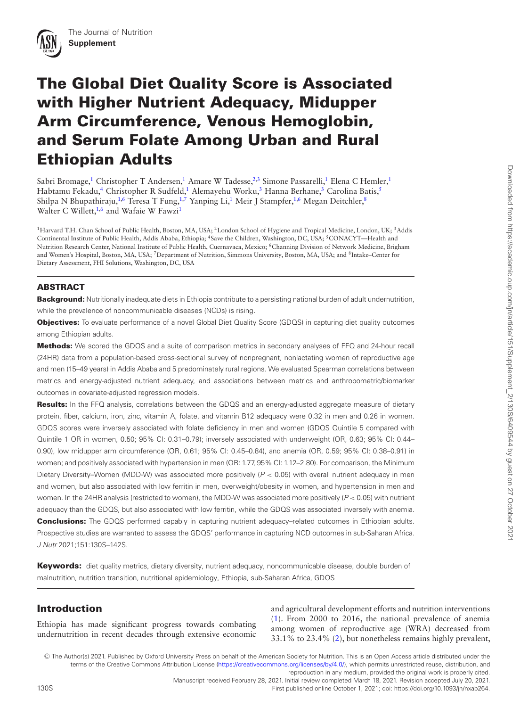# **The Global Diet Quality Score is Associated with Higher Nutrient Adequacy, Midupper Arm Circumference, Venous Hemoglobin, and Serum Folate Among Urban and Rural Ethiopian Adults**

Sabri Bromage,<sup>1</sup> Christopher T Andersen,<sup>1</sup> Amare W Tadesse,<sup>2[,3](#page-0-2)</sup> Simone Passarelli,<sup>1</sup> Elena C Hemler,<sup>1</sup> Habtamu Fekadu,<sup>4</sup> Christopher R Sudfeld,<sup>1</sup> Alemayehu Worku,<sup>3</sup> Hanna Berhane,<sup>3</sup> Carolina Batis,<sup>5</sup> Shilpa N Bhupathiraju,<sup>1[,6](#page-0-5)</sup> Teresa T Fung,<sup>1[,7](#page-0-6)</sup> Yanping Li,<sup>1</sup> Meir J Stampfer,<sup>1,[6](#page-0-5)</sup> Megan Deitchler,<sup>8</sup> Walter C Willett,<sup>1[,6](#page-0-5)</sup> and Wafaie W Fawzi<sup>1</sup>

<span id="page-0-7"></span><span id="page-0-6"></span><span id="page-0-5"></span><span id="page-0-4"></span><span id="page-0-3"></span><span id="page-0-2"></span><span id="page-0-1"></span><span id="page-0-0"></span>1Harvard T.H. Chan School of Public Health, Boston, MA, USA; 2London School of Hygiene and Tropical Medicine, London, UK; 3Addis Continental Institute of Public Health, Addis Ababa, Ethiopia; <sup>4</sup>Save the Children, Washington, DC, USA; <sup>5</sup>CONACYT—Health and Nutrition Research Center, National Institute of Public Health, Cuernavaca, Mexico; <sup>6</sup>Channing Division of Network Medicine, Brigham and Women's Hospital, Boston, MA, USA; <sup>7</sup>Department of Nutrition, Simmons University, Boston, MA, USA; and <sup>8</sup>Intake–Center for Dietary Assessment, FHI Solutions, Washington, DC, USA

# **ABSTRACT**

**Background:** Nutritionally inadequate diets in Ethiopia contribute to a persisting national burden of adult undernutrition, while the prevalence of noncommunicable diseases (NCDs) is rising.

**Objectives:** To evaluate performance of a novel Global Diet Quality Score (GDQS) in capturing diet quality outcomes among Ethiopian adults.

**Methods:** We scored the GDQS and a suite of comparison metrics in secondary analyses of FFQ and 24-hour recall (24HR) data from a population-based cross-sectional survey of nonpregnant, nonlactating women of reproductive age and men (15–49 years) in Addis Ababa and 5 predominately rural regions. We evaluated Spearman correlations between metrics and energy-adjusted nutrient adequacy, and associations between metrics and anthropometric/biomarker outcomes in covariate-adjusted regression models.

**Results:** In the FFQ analysis, correlations between the GDQS and an energy-adjusted aggregate measure of dietary protein, fiber, calcium, iron, zinc, vitamin A, folate, and vitamin B12 adequacy were 0.32 in men and 0.26 in women. GDQS scores were inversely associated with folate deficiency in men and women (GDQS Quintile 5 compared with Quintile 1 OR in women, 0.50; 95% CI: 0.31–0.79); inversely associated with underweight (OR, 0.63; 95% CI: 0.44– 0.90), low midupper arm circumference (OR, 0.61; 95% CI: 0.45–0.84), and anemia (OR, 0.59; 95% CI: 0.38–0.91) in women; and positively associated with hypertension in men (OR: 1.77, 95% CI: 1.12–2.80). For comparison, the Minimum Dietary Diversity–Women (MDD-W) was associated more positively (P < 0.05) with overall nutrient adequacy in men and women, but also associated with low ferritin in men, overweight/obesity in women, and hypertension in men and women. In the 24HR analysis (restricted to women), the MDD-W was associated more positively ( $P < 0.05$ ) with nutrient adequacy than the GDQS, but also associated with low ferritin, while the GDQS was associated inversely with anemia. **Conclusions:** The GDQS performed capably in capturing nutrient adequacy–related outcomes in Ethiopian adults. Prospective studies are warranted to assess the GDQS' performance in capturing NCD outcomes in sub-Saharan Africa. J Nutr 2021;151:130S–142S.

**Keywords:** diet quality metrics, dietary diversity, nutrient adequacy, noncommunicable disease, double burden of malnutrition, nutrition transition, nutritional epidemiology, Ethiopia, sub-Saharan Africa, GDQS

# **Introduction**

Ethiopia has made significant progress towards combating undernutrition in recent decades through extensive economic and agricultural development efforts and nutrition interventions [\(1\)](#page-10-0). From 2000 to 2016, the national prevalence of anemia among women of reproductive age (WRA) decreased from 33.1% to 23.4% [\(2\)](#page-10-1), but nonetheless remains highly prevalent,

 $\copyright$  The Author(s) 2021. Published by Oxford University Press on behalf of the American Society for Nutrition. This is an Open Access article distributed under the terms of the Creative Commons Attribution License [\(https://creativecommons.org/licenses/by/4.0/\)](https://creativecommons.org/licenses/by/4.0/), which permits unrestricted reuse, distribution, and

<sup>130</sup>S First published online October 1, 2021; doi: https://doi.org/10.1093/jn/nxab264.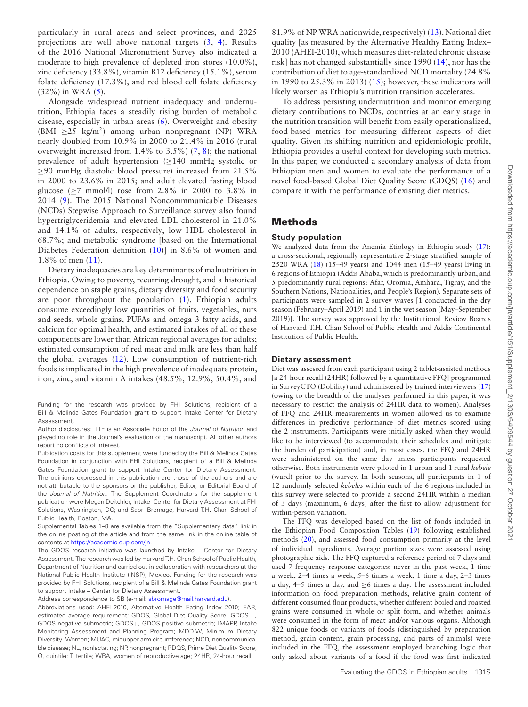particularly in rural areas and select provinces, and 2025 projections are well above national targets [\(3,](#page-10-2) [4\)](#page-10-3). Results of the 2016 National Micronutrient Survey also indicated a moderate to high prevalence of depleted iron stores (10.0%), zinc deficiency (33.8%), vitamin B12 deficiency (15.1%), serum folate deficiency (17.3%), and red blood cell folate deficiency  $(32\%)$  in WRA  $(5)$ .

Alongside widespread nutrient inadequacy and undernutrition, Ethiopia faces a steadily rising burden of metabolic disease, especially in urban areas [\(6\)](#page-10-5). Overweight and obesity (BMI  $\geq$ 25 kg/m<sup>2</sup>) among urban nonpregnant (NP) WRA nearly doubled from 10.9% in 2000 to 21.4% in 2016 (rural overweight increased from 1.4% to 3.5%) [\(7,](#page-10-6) [8\)](#page-10-7); the national prevalence of adult hypertension  $(\geq 140 \text{ mmHg} \text{ systolic or})$ ≥90 mmHg diastolic blood pressure) increased from 21.5% in 2000 to 23.6% in 2015; and adult elevated fasting blood glucose  $(>7 \text{ mmol/l})$  rose from 2.8% in 2000 to 3.8% in 2014 [\(9\)](#page-10-8). The 2015 National Noncommmunicable Diseases (NCDs) Stepwise Approach to Surveillance survey also found hypertriglyceridemia and elevated LDL cholesterol in 21.0% and 14.1% of adults, respectively; low HDL cholesterol in 68.7%; and metabolic syndrome [based on the International Diabetes Federation definition [\(10\)](#page-10-9)] in 8.6% of women and 1.8% of men [\(11\)](#page-10-10).

Dietary inadequacies are key determinants of malnutrition in Ethiopia. Owing to poverty, recurring drought, and a historical dependence on staple grains, dietary diversity and food security are poor throughout the population [\(1\)](#page-10-0). Ethiopian adults consume exceedingly low quantities of fruits, vegetables, nuts and seeds, whole grains, PUFAs and omega 3 fatty acids, and calcium for optimal health, and estimated intakes of all of these components are lower than African regional averages for adults; estimated consumption of red meat and milk are less than half the global averages [\(12\)](#page-10-11). Low consumption of nutrient-rich foods is implicated in the high prevalence of inadequate protein, iron, zinc, and vitamin A intakes (48.5%, 12.9%, 50.4%, and

```
Address correspondence to SB (e-mail: sbromage@mail.harvard.edu).
```
81.9% of NP WRA nationwide, respectively) [\(13\)](#page-11-0). National diet quality [as measured by the Alternative Healthy Eating Index– 2010 (AHEI-2010), which measures diet-related chronic disease risk] has not changed substantially since 1990 [\(14\)](#page-11-1), nor has the contribution of diet to age-standardized NCD mortality (24.8% in 1990 to 25.3% in 2013)  $(15)$ ; however, these indicators will likely worsen as Ethiopia's nutrition transition accelerates.

To address persisting undernutrition and monitor emerging dietary contributions to NCDs, countries at an early stage in the nutrition transition will benefit from easily operationalized, food-based metrics for measuring different aspects of diet quality. Given its shifting nutrition and epidemiologic profile, Ethiopia provides a useful context for developing such metrics. In this paper, we conducted a secondary analysis of data from Ethiopian men and women to evaluate the performance of a novel food-based Global Diet Quality Score (GDQS) [\(16\)](#page-11-3) and compare it with the performance of existing diet metrics.

# **Methods**

#### **Study population**

We analyzed data from the Anemia Etiology in Ethiopia study [\(17\)](#page-11-4): a cross-sectional, regionally representative 2-stage stratified sample of 2520 WRA [\(18\)](#page-11-5) (15–49 years) and 1044 men (15–49 years) living in 6 regions of Ethiopia (Addis Ababa, which is predominantly urban, and 5 predominantly rural regions: Afar, Oromia, Amhara, Tigray, and the Southern Nations, Nationalities, and People's Region). Separate sets of participants were sampled in 2 survey waves [1 conducted in the dry season (February–April 2019) and 1 in the wet season (May–September 2019)]. The survey was approved by the Institutional Review Boards of Harvard T.H. Chan School of Public Health and Addis Continental Institution of Public Health.

#### **Dietary assessment**

Diet was assessed from each participant using 2 tablet-assisted methods [a 24-hour recall (24HR) followed by a quantitative FFQ] programmed in SurveyCTO (Dobility) and administered by trained interviewers [\(17\)](#page-11-4) (owing to the breadth of the analyses performed in this paper, it was necessary to restrict the analysis of 24HR data to women). Analyses of FFQ and 24HR measurements in women allowed us to examine differences in predictive performance of diet metrics scored using the 2 instruments. Participants were initially asked when they would like to be interviewed (to accommodate their schedules and mitigate the burden of participation) and, in most cases, the FFQ and 24HR were administered on the same day unless participants requested otherwise. Both instruments were piloted in 1 urban and 1 rural *kebele* (ward) prior to the survey. In both seasons, all participants in 1 of 12 randomly selected *kebeles* within each of the 6 regions included in this survey were selected to provide a second 24HR within a median of 3 days (maximum, 6 days) after the first to allow adjustment for within-person variation.

The FFQ was developed based on the list of foods included in the Ethiopian Food Composition Tables [\(19\)](#page-11-6) following established methods [\(20\)](#page-11-7), and assessed food consumption primarily at the level of individual ingredients. Average portion sizes were assessed using photographic aids. The FFQ captured a reference period of 7 days and used 7 frequency response categories: never in the past week, 1 time a week, 2–4 times a week, 5–6 times a week, 1 time a day, 2–3 times a day, 4–5 times a day, and  $\geq 6$  times a day. The assessment included information on food preparation methods, relative grain content of different consumed flour products, whether different boiled and roasted grains were consumed in whole or split form, and whether animals were consumed in the form of meat and/or various organs. Although 822 unique foods or variants of foods (distinguished by preparation method, grain content, grain processing, and parts of animals) were included in the FFQ, the assessment employed branching logic that only asked about variants of a food if the food was first indicated

Funding for the research was provided by FHI Solutions, recipient of a Bill & Melinda Gates Foundation grant to support Intake–Center for Dietary Assessment.

Author disclosures: TTF is an Associate Editor of the Journal of Nutrition and played no role in the Journal's evaluation of the manuscript. All other authors report no conflicts of interest.

Publication costs for this supplement were funded by the Bill & Melinda Gates Foundation in conjunction with FHI Solutions, recipient of a Bill & Melinda Gates Foundation grant to support Intake–Center for Dietary Assessment. The opinions expressed in this publication are those of the authors and are not attributable to the sponsors or the publisher, Editor, or Editorial Board of the Journal of Nutrition. The Supplement Coordinators for the supplement publication were Megan Deitchler, Intake–Center for Dietary Assessment at FHI Solutions, Washington, DC; and Sabri Bromage, Harvard T.H. Chan School of Public Health, Boston, MA.

Supplemental Tables 1–8 are available from the "Supplementary data" link in the online posting of the article and from the same link in the online table of contents at [https://academic.oup.com/jn.](https://academic.oup.com/jn)

The GDQS research initiative was launched by Intake – Center for Dietary Assessment. The research was led by Harvard T.H. Chan School of Public Health, Department of Nutrition and carried out in collaboration with researchers at the National Public Health Institute (INSP), Mexico. Funding for the research was provided by FHI Solutions, recipient of a Bill & Melinda Gates Foundation grant to support Intake – Center for Dietary Assessment.

Abbreviations used: AHEI-2010, Alternative Health Eating Index–2010; EAR, estimated average requirement; GDQS, Global Diet Quality Score; GDQS-−, GDQS negative submetric; GDQS+, GDQS positive submetric; IMAPP, Intake Monitoring Assessment and Planning Program; MDD-W, Minimum Dietary Diversity–Women; MUAC, midupper arm circumference; NCD, noncommunicable disease; NL, nonlactating; NP, nonpregnant; PDQS, Prime Diet Quality Score; Q, quintile; T, tertile; WRA, women of reproductive age; 24HR, 24-hour recall.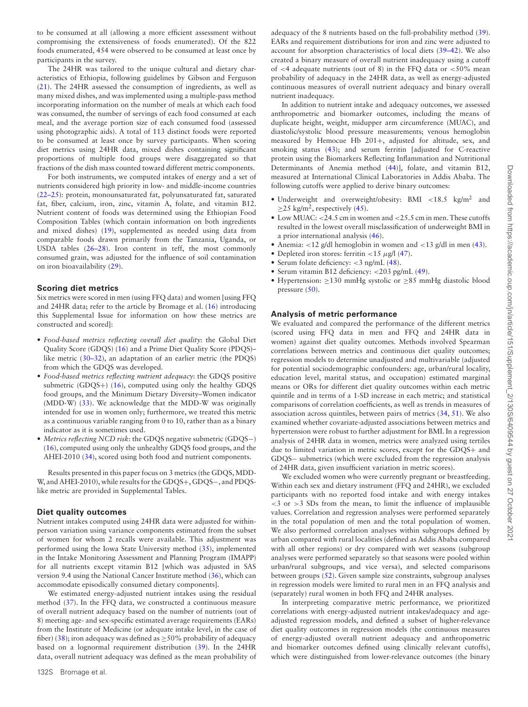to be consumed at all (allowing a more efficient assessment without compromising the extensiveness of foods enumerated). Of the 822 foods enumerated, 454 were observed to be consumed at least once by participants in the survey.

The 24HR was tailored to the unique cultural and dietary characteristics of Ethiopia, following guidelines by Gibson and Ferguson [\(21\)](#page-11-8). The 24HR assessed the consumption of ingredients, as well as many mixed dishes, and was implemented using a multiple-pass method incorporating information on the number of meals at which each food was consumed, the number of servings of each food consumed at each meal, and the average portion size of each consumed food (assessed using photographic aids). A total of 113 distinct foods were reported to be consumed at least once by survey participants. When scoring diet metrics using 24HR data, mixed dishes containing significant proportions of multiple food groups were disaggregated so that fractions of the dish mass counted toward different metric components.

For both instruments, we computed intakes of energy and a set of nutrients considered high priority in low- and middle-income countries [\(22–25\)](#page-11-9): protein, monounsaturated fat, polyunsaturated fat, saturated fat, fiber, calcium, iron, zinc, vitamin A, folate, and vitamin B12. Nutrient content of foods was determined using the Ethiopian Food Composition Tables (which contain information on both ingredients and mixed dishes) [\(19\)](#page-11-6), supplemented as needed using data from comparable foods drawn primarily from the Tanzania, Uganda, or USDA tables [\(26–28\)](#page-11-10). Iron content in teff, the most commonly consumed grain, was adjusted for the influence of soil contamination on iron bioavailability [\(29\)](#page-11-11).

#### **Scoring diet metrics**

Six metrics were scored in men (using FFQ data) and women [using FFQ and 24HR data; refer to the article by Bromage et al. [\(16\)](#page-11-3) introducing this Supplemental Issue for information on how these metrics are constructed and scored]:

- *Food-based metrics reflecting overall diet quality*: the Global Diet Quality Score (GDQS) [\(16\)](#page-11-3) and a Prime Diet Quality Score (PDQS)– like metric [\(30–32\)](#page-11-12), an adaptation of an earlier metric (the PDQS) from which the GDQS was developed.
- *Food-based metrics reflecting nutrient adequacy*: the GDQS positive submetric (GDQS+) [\(16\)](#page-11-3), computed using only the healthy GDQS food groups, and the Minimum Dietary Diversity–Women indicator (MDD-W) [\(33\)](#page-11-13). We acknowledge that the MDD-W was originally intended for use in women only; furthermore, we treated this metric as a continuous variable ranging from 0 to 10, rather than as a binary indicator as it is sometimes used.
- *Metrics reflecting NCD risk*: the GDQS negative submetric (GDQS−) [\(16\)](#page-11-3), computed using only the unhealthy GDQS food groups, and the AHEI-2010 [\(34\)](#page-11-14), scored using both food and nutrient components.

Results presented in this paper focus on 3 metrics (the GDQS,MDD-W, and AHEI-2010), while results for the GDQS+, GDQS−, and PDQSlike metric are provided in Supplemental Tables.

#### **Diet quality outcomes**

Nutrient intakes computed using 24HR data were adjusted for withinperson variation using variance components estimated from the subset of women for whom 2 recalls were available. This adjustment was performed using the Iowa State University method [\(35\)](#page-11-15), implemented in the Intake Monitoring Assessment and Planning Program (IMAPP) for all nutrients except vitamin B12 [which was adjusted in SAS version 9.4 using the National Cancer Institute method [\(36\)](#page-11-16), which can accommodate episodically consumed dietary components].

We estimated energy-adjusted nutrient intakes using the residual method [\(37\)](#page-11-17). In the FFQ data, we constructed a continuous measure of overall nutrient adequacy based on the number of nutrients (out of 8) meeting age- and sex-specific estimated average requirements (EARs) from the Institute of Medicine (or adequate intake level, in the case of fiber) [\(38\)](#page-11-18); iron adequacy was defined as  $\geq$  50% probability of adequacy based on a lognormal requirement distribution [\(39\)](#page-11-19). In the 24HR data, overall nutrient adequacy was defined as the mean probability of adequacy of the 8 nutrients based on the full-probability method [\(39\)](#page-11-19). EARs and requirement distributions for iron and zinc were adjusted to account for absorption characteristics of local diets [\(39–42\)](#page-11-19). We also created a binary measure of overall nutrient inadequacy using a cutoff of  $<$  4 adequate nutrients (out of 8) in the FFQ data or  $<$  50% mean probability of adequacy in the 24HR data, as well as energy-adjusted continuous measures of overall nutrient adequacy and binary overall nutrient inadequacy.

In addition to nutrient intake and adequacy outcomes, we assessed anthropometric and biomarker outcomes, including the means of duplicate height, weight, midupper arm circumference (MUAC), and diastolic/systolic blood pressure measurements; venous hemoglobin measured by Hemocue Hb 201+, adjusted for altitude, sex, and smoking status [\(43\)](#page-11-20); and serum ferritin [adjusted for C-reactive protein using the Biomarkers Reflecting Inflammation and Nutritional Determinants of Anemia method [\(44\)](#page-11-20)], folate, and vitamin B12, measured at International Clinical Laboratories in Addis Ababa. The following cutoffs were applied to derive binary outcomes:

- Underweight and overweight/obesity: BMI <18.5 kg/m<sup>2</sup> and  $\geq$ 25 kg/m<sup>2</sup>, respectively [\(45\)](#page-11-21).
- Low MUAC: <24.5 cm in women and <25.5 cm in men. These cutoffs resulted in the lowest overall misclassification of underweight BMI in a prior international analysis [\(46\)](#page-11-22).
- Anemia: <12 g/dl hemoglobin in women and <13 g/dl in men [\(43\)](#page-11-20).
- Depleted iron stores: ferritin <15  $\mu$ g/l [\(47\)](#page-11-23).
- Serum folate deficiency: <3 ng/mL [\(48\)](#page-11-24).
- Serum vitamin B12 deficiency: <203 pg/mL [\(49\)](#page-11-25).
- Hypertension: ≥130 mmHg systolic or ≥85 mmHg diastolic blood pressure  $(50)$ .

#### **Analysis of metric performance**

We evaluated and compared the performance of the different metrics (scored using FFQ data in men and FFQ and 24HR data in women) against diet quality outcomes. Methods involved Spearman correlations between metrics and continuous diet quality outcomes; regression models to determine unadjusted and multivariable (adjusted for potential sociodemographic confounders: age, urban/rural locality, education level, marital status, and occupation) estimated marginal means or ORs for different diet quality outcomes within each metric quintile and in terms of a 1-SD increase in each metric; and statistical comparisons of correlation coefficients, as well as trends in measures of association across quintiles, between pairs of metrics [\(34,](#page-11-14) [51\)](#page-11-27). We also examined whether covariate-adjusted associations between metrics and hypertension were robust to further adjustment for BMI. In a regression analysis of 24HR data in women, metrics were analyzed using tertiles due to limited variation in metric scores, except for the GDQS+ and GDQS− submetrics (which were excluded from the regression analysis of 24HR data, given insufficient variation in metric scores).

We excluded women who were currently pregnant or breastfeeding. Within each sex and dietary instrument (FFQ and 24HR), we excluded participants with no reported food intake and with energy intakes  $<$ 3 or  $>$ 3 SDs from the mean, to limit the influence of implausible values. Correlation and regression analyses were performed separately in the total population of men and the total population of women. We also performed correlation analyses within subgroups defined by urban compared with rural localities (defined as Addis Ababa compared with all other regions) or dry compared with wet seasons (subgroup analyses were performed separately so that seasons were pooled within urban/rural subgroups, and vice versa), and selected comparisons between groups [\(52\)](#page-11-28). Given sample size constraints, subgroup analyses in regression models were limited to rural men in an FFQ analysis and (separately) rural women in both FFQ and 24HR analyses.

In interpreting comparative metric performance, we prioritized correlations with energy-adjusted nutrient intakes/adequacy and ageadjusted regression models, and defined a subset of higher-relevance diet quality outcomes in regression models (the continuous measures of energy-adjusted overall nutrient adequacy and anthropometric and biomarker outcomes defined using clinically relevant cutoffs), which were distinguished from lower-relevance outcomes (the binary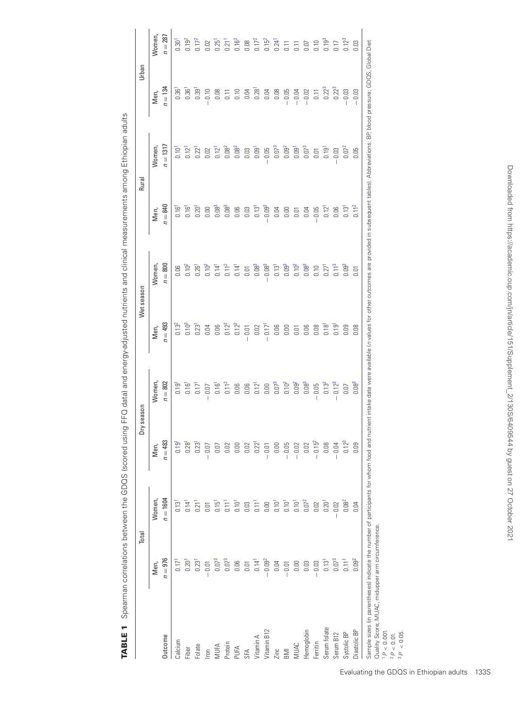|                                                                                                                                                                                                                                                                                    | Total                            |                                  | Dry season                       |                                  |                                  | Wet season          |                                  | Rural                            | Urban              |                                  |
|------------------------------------------------------------------------------------------------------------------------------------------------------------------------------------------------------------------------------------------------------------------------------------|----------------------------------|----------------------------------|----------------------------------|----------------------------------|----------------------------------|---------------------|----------------------------------|----------------------------------|--------------------|----------------------------------|
|                                                                                                                                                                                                                                                                                    | Men,                             | Women,                           | Men,                             | Women,                           | Men,                             | Women,              | Men,                             | Women,                           | Men,               | Women,                           |
| Outcome                                                                                                                                                                                                                                                                            | $n = 976$                        | $n = 1604$                       | $n=483$                          | $n = 802$                        | $n = 493$                        | $n = 800$           | $n = 840$                        | $n = 1317$                       | $n = 134$          | $n = 287$                        |
| Calcium                                                                                                                                                                                                                                                                            | $0.17$ <sup><math>-</math></sup> | $0.13$ <sup><math>1</math></sup> | 0.19                             | 0.19                             | $0.13^{2}$                       | 0.06                | 0.16 <sup>1</sup>                | 0.10 <sup>1</sup>                | 0.36               | 0.30 <sup>1</sup>                |
| Fiber                                                                                                                                                                                                                                                                              | 0.20 <sup>1</sup>                | $0.14$ <sup><math>-</math></sup> | 0.28                             | 0.16 <sup>1</sup>                | 0.10 <sup>3</sup>                | $0.10^{2}$          | 0.16 <sup>1</sup>                | 0.12 <sup>1</sup>                | 0.36 <sup>1</sup>  | $0.19^{2}$                       |
| Folate                                                                                                                                                                                                                                                                             | $0.23$ <sup><math>1</math></sup> | $0.21$ <sup>1</sup>              | 0.23                             | $0.17$ <sup><math>-</math></sup> | $0.23$ <sup><math>1</math></sup> | 0.26 <sup>1</sup>   | 0.20                             | 0.22 <sup>1</sup>                | 0.39               | $0.17^{2}$                       |
| Iron                                                                                                                                                                                                                                                                               | 0.01                             | 0.01                             | $-0.07$                          | 0.07<br>$\overline{1}$           | 0.04                             | 0.10 <sup>2</sup>   | 0.00                             | 0.02                             | $-0.10$            | 0.02                             |
|                                                                                                                                                                                                                                                                                    | 0.07 <sup>3</sup>                | $0.15$ <sup><math>-</math></sup> | 0.07                             | $0.16$ <sup>1</sup>              | 0.06                             | $0.14$ <sup>1</sup> | $0.08^{3}$                       | $0.12$ <sup><math>-</math></sup> | 0.08               | 0.25 <sup>1</sup>                |
| MUFA<br>Protein<br>PUFA                                                                                                                                                                                                                                                            | $0.07^{3}$                       | 0.11                             | 0.02                             | 0.11 <sup>2</sup>                | $0.12^{2}$                       | 0.11 <sup>2</sup>   | $0.08^{3}$                       | $0.08^{2}$                       | $\overline{0}$ .11 | $0.21$ <sup><math>-</math></sup> |
|                                                                                                                                                                                                                                                                                    | 0.06                             | 0.10 <sup>1</sup>                | 0.00                             | 0.06                             | $0.12^{2}$                       | 0.14 <sup>1</sup>   | 0.06                             | $0.08^{2}$                       | 0.10               | $0.16^{2}$                       |
| SFA                                                                                                                                                                                                                                                                                | 0.01                             | 0.03                             | 0.02                             | 0.06                             | 0.01                             | 0.01                | 0.03                             | 0.03                             | 0.04               | 0.08                             |
| Vitamin A                                                                                                                                                                                                                                                                          | $0.14$ <sup>1</sup>              | 0.11                             | $0.22$ <sup><math>1</math></sup> | 0.12 <sup>1</sup>                | 0.02                             | $0.08^{3}$          | 0.13                             | 0.09                             | 0.28               | $0.17^{2}$                       |
| Vitamin B12                                                                                                                                                                                                                                                                        | $-0.09^{2}$                      | 0.00                             | $-0.01$                          | $0.00\,$                         | $0.17^{1}$                       | $0.08^{3}$          | 0.09 <sup>3</sup>                | $-0.05$                          | 0.04               | 0.15 <sup>2</sup>                |
| Zinc                                                                                                                                                                                                                                                                               | 0.04                             | $0.10$ <sup><math>1</math></sup> | 0.00                             | $0.07^{3}$                       | 0.06                             | 0.13 <sup>1</sup>   | 0.04                             | $0.07^{3}$                       | 0.08               | $0.24$ <sup>1</sup>              |
| BMI                                                                                                                                                                                                                                                                                | $-0.01$                          | $0.10$ <sup><math>1</math></sup> | $-0.05$                          | $0.10^{2}$                       | 0.00                             | 0.09 <sup>3</sup>   | 0.00                             | 0.09 <sup>2</sup>                | $-0.05$            | 0.11                             |
| MUAC                                                                                                                                                                                                                                                                               | 0.00                             | 0.10 <sup>1</sup>                | $-0.02$                          | $0.09^{2}$                       | 0.01                             | 0.10 <sup>2</sup>   | 0.01                             | $0.09$ <sup><math>1</math></sup> | $-0.04$            | $\overline{0}$ . 11              |
| Hemoglobin                                                                                                                                                                                                                                                                         | 0.03                             | $0.07^{2}$                       | 0.02                             | $0.08^{3}$                       | 0.06                             | $0.08^{3}$          | 0.04                             | $0.07^{3}$                       | $-0.02$            | 0.07                             |
| Ferritin                                                                                                                                                                                                                                                                           | $-0.03$                          | 0.02                             | $-0.15^{2}$                      | 0.05<br>$\overline{\phantom{a}}$ | 0.08                             | 0.10                | 0.05                             | 0.01                             | 0.11               | 0.10                             |
| Serum folate                                                                                                                                                                                                                                                                       | 0.13 <sup>1</sup>                | 0.20 <sup>1</sup>                | 0.08                             | $0.13^{2}$                       | $0.18$ <sup>1</sup>              | $0.27^{1}$          | 0.12 <sup>1</sup>                | 0.19                             | $0.22^{3}$         | 0.19 <sup>3</sup>                |
| Serum B12                                                                                                                                                                                                                                                                          | $0.07^{3}$                       | 0.02<br>$\overline{1}$           | $-0.04$                          | 0.12 <sup>3</sup><br>I           | $0.19$ <sup><math>1</math></sup> | 0.11 <sup>3</sup>   | 0.06                             | $-0.03$                          | $0.22^{3}$         | 0.17                             |
| Systolic BP                                                                                                                                                                                                                                                                        | 0.11 <sup>1</sup>                | $0.08^{2}$                       | 0.12 <sup>3</sup>                | 0.07                             | 0.09                             | 0.09 <sup>3</sup>   | $0.13$ <sup><math>1</math></sup> | $0.07^{2}$                       | $-0.03$            | 0.12 <sup>3</sup>                |
| Diastolic BP                                                                                                                                                                                                                                                                       | $0.09^{2}$                       | 0.04                             | 0.09                             | $0.08^{3}$                       | 0.08                             | 0.01                | 0.11 <sup>2</sup>                | 0.05                             | 0.03               | 0.03                             |
| Sample sizes (in parentheses) indicate the number of participants for whom food and nutrient intake data were available (n values for other outcomes are provided in subsequent tables). Abbreviations: BP blood pressure; GDQ<br>Quality Score; MUAC, midupper arm circumference. |                                  |                                  |                                  |                                  |                                  |                     |                                  |                                  |                    |                                  |

TABLE 1 Spearman correlations between the GDQS (scored using FFQ data) and energy-adjusted nutrients and clinical measurements among Ethiopian adults **TABLE 1** Spearman correlations between the GDQS (scored using FFQ data) and energy-adjusted nutrients and clinical measurements among Ethiopian adults

<span id="page-3-2"></span><span id="page-3-1"></span><span id="page-3-0"></span>Evaluating the GDQS in Ethiopian adults 133S

<span id="page-3-3"></span>1P < 0.001. 2P < 0.01. 3P < 0.05.

Downloaded from https://academic.oup.com/jn/article/151/Supplement\_2/130S/6409544 by guest on 27 October 2021 Downloaded from https://academic.oup.com/jn/article/151/Supplement\_2/130S/6409544 by guest on 27 October 2021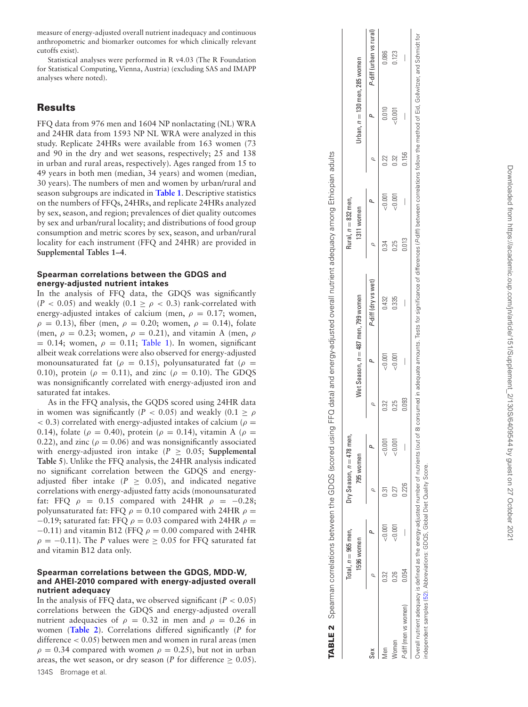measure of energy-adjusted overall nutrient inadequacy and continuous anthropometric and biomarker outcomes for which clinically relevant cutoffs exist).

Statistical analyses were performed in R v4.03 (The R Foundation for Statistical Computing, Vienna, Austria) (excluding SAS and IMAPP analyses where noted).

# **Results**

FFQ data from 976 men and 1604 NP nonlactating (NL) WRA and 24HR data from 1593 NP NL WRA were analyzed in this study. Replicate 24HRs were available from 163 women (73 and 90 in the dry and wet seasons, respectively; 25 and 138 in urban and rural areas, respectively). Ages ranged from 15 to 49 years in both men (median, 34 years) and women (median, 30 years). The numbers of men and women by urban/rural and season subgroups are indicated in **[Table 1](#page-3-3)**. Descriptive statistics on the numbers of FFQs, 24HRs, and replicate 24HRs analyzed by sex, season, and region; prevalences of diet quality outcomes by sex and urban/rural locality; and distributions of food group consumption and metric scores by sex, season, and urban/rural locality for each instrument (FFQ and 24HR) are provided in **Supplemental Tables 1–4** .

## **Spearman correlations between the GDQS and energy-adjusted nutrient intakes**

In the analysis of FFQ data, the GDQS was significantly  $(P < 0.05)$  and weakly  $(0.1 \ge \rho < 0.3)$  rank-correlated with energy-adjusted intakes of calcium (men,  $\rho = 0.17$ ; women,  $ρ = 0.13$ ), fiber (men,  $ρ = 0.20$ ; women,  $ρ = 0.14$ ), folate (men,  $\rho = 0.23$ ; women,  $\rho = 0.21$ ), and vitamin A (men,  $\rho$  $= 0.14$ ; women,  $\rho = 0.11$ ; [Table 1\)](#page-3-3). In women, significant albeit weak correlations were also observed for energy-adjusted monounsaturated fat ( $\rho = 0.15$ ), polyunsaturated fat ( $\rho =$ 0.10), protein ( $\rho = 0.11$ ), and zinc ( $\rho = 0.10$ ). The GDQS was nonsignificantly correlated with energy-adjusted iron and saturated fat intakes.

As in the FFQ analysis, the GQDS scored using 24HR data in women was significantly ( $P < 0.05$ ) and weakly ( $0.1 \ge \rho$  $(6 - 0.3)$  correlated with energy-adjusted intakes of calcium ( $\rho =$ 0.14), folate ( $\rho = 0.40$ ), protein ( $\rho = 0.14$ ), vitamin A ( $\rho =$ 0.22), and zinc ( $\rho = 0.06$ ) and was nonsignificantly associated with energy-adjusted iron intake  $(P \ge 0.05;$  **Supplemental Table 5**). Unlike the FFQ analysis, the 24HR analysis indicated no significant correlation between the GDQS and energyadjusted fiber intake ( $P \ge 0.05$ ), and indicated negative correlations with energy-adjusted fatty acids (monounsaturated fat: FFQ  $\rho = 0.15$  compared with 24HR  $\rho = -0.28$ ; polyunsaturated fat: FFQ  $\rho = 0.10$  compared with 24HR  $\rho =$ −0.19; saturated fat: FFQ  $\rho = 0.03$  compared with 24HR  $\rho =$  $-0.11$ ) and vitamin B12 (FFQ  $\rho = 0.00$  compared with 24HR  $\rho = -0.11$ ). The *P* values were  $\geq 0.05$  for FFQ saturated fat and vitamin B12 data only.

## **Spearman correlations between the GDQS, MDD-W, and AHEI-2010 compared with energy-adjusted overall nutrient adequacy**

In the analysis of FFQ data, we observed significant ( $P < 0.05$ ) correlations between the GDQS and energy-adjusted overall nutrient adequacies of  $\rho = 0.32$  in men and  $\rho = 0.26$  in women (**[Table 2](#page-4-0)**). Correlations differed significantly ( *P* for difference < 0.05) between men and women in rural areas (men  $\rho = 0.34$  compared with women  $\rho = 0.25$ ), but not in urban areas, the wet season, or dry season (*P* for difference  $\geq 0.05$ ). 134S Bromage et al.

|                       |       | Total, $n = 965$ men, | Dry Season, $n=478$ men, |         |         |         |                                      |       | Rural, $n = 832$ men, |       |                                 |                         |
|-----------------------|-------|-----------------------|--------------------------|---------|---------|---------|--------------------------------------|-------|-----------------------|-------|---------------------------------|-------------------------|
|                       |       | 1596 women            | 795 women                |         |         |         | Wet Season, $n = 487$ men, 799 women |       | 1311 women            |       | Urban, $n = 130$ men, 285 women |                         |
| Sex                   |       |                       |                          |         | $\circ$ |         | P-diff (dry vs wet)                  |       |                       |       |                                 | P-diff (urban vs rural) |
| vlen                  | 0.32  | $-0.001$              | <u>ក្ខ</u>               | < 0.001 | 0.32    | < 0.001 | 0.432                                | 0.34  | < 0.001               | 0.22  | 0.010                           | 0.086                   |
| Vomen                 | 0.26  | 1001                  | 0.27                     | &0.001  | 0.25    | < 0.001 | 0.335                                | 0.25  | < 0.001               | 0.32  | &0.001                          | 0.123                   |
| P-diff (men vs women) | 0.054 |                       | 0.226                    | I       | 0.093   | I       | I                                    | 0.013 |                       | 0.156 | I                               |                         |
|                       |       |                       |                          |         |         |         |                                      |       |                       |       |                                 |                         |

**TABLE 2** Spearman correlations between the GDQS (scored using FFQ data) and energy-adjusted overall nutrient adequacy among Ethiopian adults

Spearman correlations between the GDQS (scored using FFQ data) and energy-adjusted overall nutrient adequacy among

<span id="page-4-0"></span>**TABLE 2** 

Ethiopian adults

Overall nutrient adequacy is defined as the energy-adjusted number of number of number of number of allerging consumes (Pdifferences (Pdifferences (Pdifferences not signomical collex the method of Erd, Gollwitzer, and Schm S. independent samples [\(52\)](#page-11-28). Abbreviations: GDQS, Global Diet Quality Score. Global Diet Quality Score ber o<br>0 independent samples (52). Abbreviations: GDQS, eq SE. eo<br>0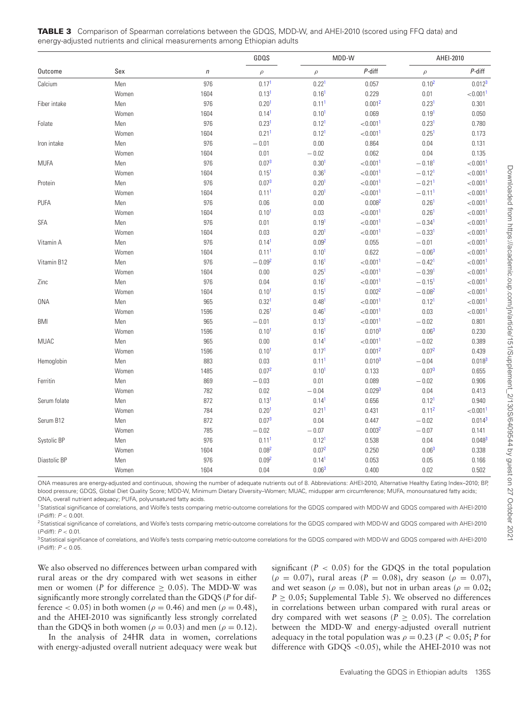|              |       |                  | GDQS              |                   | MDD-W                |                      | AHEI-2010               |
|--------------|-------|------------------|-------------------|-------------------|----------------------|----------------------|-------------------------|
| Outcome      | Sex   | $\boldsymbol{n}$ | $\rho$            | $\rho$            | $P$ -diff            | $\rho$               | P-diff                  |
| Calcium      | Men   | 976              | 0.17 <sup>1</sup> | 0.22 <sup>1</sup> | 0.057                | 0.10 <sup>2</sup>    | $0.012^{3}$             |
|              | Women | 1604             | 0.13 <sup>1</sup> | 0.16 <sup>1</sup> | 0.229                | 0.01                 | < 0.001 <sup>1</sup>    |
| Fiber intake | Men   | 976              | 0.20 <sup>1</sup> | 0.11 <sup>1</sup> | 0.001 <sup>2</sup>   | 0.23 <sup>1</sup>    | 0.301                   |
|              | Women | 1604             | 0.14 <sup>1</sup> | 0.10 <sup>1</sup> | 0.069                | 0.19 <sup>1</sup>    | 0.050                   |
| Folate       | Men   | 976              | 0.23 <sup>1</sup> | 0.12 <sup>1</sup> | < 0.001 <sup>1</sup> | 0.23 <sup>1</sup>    | 0.780                   |
|              | Women | 1604             | 0.21 <sup>1</sup> | 0.12 <sup>1</sup> | < 0.001 <sup>1</sup> | 0.25 <sup>1</sup>    | 0.173                   |
| Iron intake  | Men   | 976              | $-0.01$           | 0.00              | 0.864                | 0.04                 | 0.131                   |
|              | Women | 1604             | 0.01              | $-0.02$           | 0.062                | 0.04                 | 0.135                   |
| <b>MUFA</b>  | Men   | 976              | $0.07^{3}$        | 0.30 <sup>1</sup> | < 0.001 <sup>1</sup> | $-0.18^{1}$          | ${<}0.001$ <sup>1</sup> |
|              | Women | 1604             | 0.15 <sup>1</sup> | 0.36 <sup>1</sup> | < 0.001 <sup>1</sup> | $-0.12^{1}$          | < 0.001 <sup>1</sup>    |
| Protein      | Men   | 976              | $0.07^{3}$        | 0.20 <sup>1</sup> | < 0.001 <sup>1</sup> | $-0.21$ <sup>1</sup> | < 0.001 <sup>1</sup>    |
|              | Women | 1604             | 0.11 <sup>1</sup> | 0.20 <sup>1</sup> | < 0.001 <sup>1</sup> | $-0.111$             | < 0.001 <sup>1</sup>    |
| PUFA         | Men   | 976              | $0.06\,$          | 0.00              | 0.008 <sup>2</sup>   | 0.26 <sup>1</sup>    | < 0.001 <sup>1</sup>    |
|              | Women | 1604             | 0.10 <sup>1</sup> | 0.03              | < 0.001 <sup>1</sup> | 0.26 <sup>1</sup>    | < 0.001 <sup>1</sup>    |
| <b>SFA</b>   | Men   | 976              | 0.01              | 0.19 <sup>1</sup> | < 0.001 <sup>1</sup> | $-0.34$ <sup>1</sup> | < 0.001 <sup>1</sup>    |
|              | Women | 1604             | 0.03              | 0.20 <sup>1</sup> | < 0.001 <sup>1</sup> | $-0.33^{1}$          | $< 0.001$ <sup>1</sup>  |
| Vitamin A    | Men   | 976              | 0.14 <sup>1</sup> | 0.09 <sup>2</sup> | 0.055                | $-0.01$              | < 0.001 <sup>1</sup>    |
|              | Women | 1604             | 0.11 <sup>1</sup> | 0.10 <sup>1</sup> | 0.622                | $-0.06^{3}$          | < 0.001 <sup>1</sup>    |
| Vitamin B12  | Men   | 976              | $-0.09^{2}$       | $0.16^{1}$        | < 0.001 <sup>1</sup> | $-0.42^{1}$          | < 0.0011                |
|              | Women | 1604             | 0.00              | 0.25 <sup>1</sup> | < 0.001 <sup>1</sup> | $-0.391$             | < 0.001 <sup>1</sup>    |
| Zinc         | Men   | 976              | 0.04              | 0.16 <sup>1</sup> | < 0.001 <sup>1</sup> | $-0.15^{1}$          | < 0.001 <sup>1</sup>    |
|              | Women | 1604             | 0.10 <sup>1</sup> | 0.15 <sup>1</sup> | 0.002 <sup>2</sup>   | $-0.08^{2}$          | < 0.001 <sup>1</sup>    |
| <b>ONA</b>   | Men   | 965              | 0.32 <sup>1</sup> | 0.48 <sup>1</sup> | < 0.001 <sup>1</sup> | $0.12^{1}$           | < 0.001 <sup>1</sup>    |
|              | Women | 1596             | 0.26 <sup>1</sup> | 0.46 <sup>1</sup> | < 0.001 <sup>1</sup> | 0.03                 | < 0.001 <sup>1</sup>    |
| <b>BMI</b>   | Men   | 965              | $-0.01$           | 0.13 <sup>1</sup> | < 0.001 <sup>1</sup> | $-0.02$              | 0.801                   |
|              | Women | 1596             | 0.10 <sup>1</sup> | $0.16^{1}$        | 0.010 <sup>3</sup>   | 0.06 <sup>3</sup>    | 0.230                   |
| <b>MUAC</b>  | Men   | 965              | 0.00              | 0.14 <sup>1</sup> | < 0.001 <sup>1</sup> | $-\,0.02$            | 0.389                   |
|              | Women | 1596             | 0.10 <sup>1</sup> | 0.17 <sup>1</sup> | 0.001 <sup>2</sup>   | 0.07 <sup>2</sup>    | 0.439                   |
| Hemoglobin   | Men   | 883              | 0.03              | 0.11 <sup>1</sup> | $0.010^{3}$          | $-0.04$              | $0.018^{3}$             |
|              | Women | 1485             | 0.07 <sup>2</sup> | 0.10 <sup>1</sup> | 0.133                | $0.07^{3}$           | 0.655                   |
| Ferritin     | Men   | 869              | $-0.03$           | 0.01              | 0.089                | $-0.02$              | 0.906                   |
|              | Women | 782              | 0.02              | $-0.04$           | 0.029 <sup>3</sup>   | 0.04                 | 0.413                   |
| Serum folate | Men   | 872              | 0.13 <sup>1</sup> | 0.14 <sup>1</sup> | 0.656                | $0.12^{1}$           | 0.940                   |
|              | Women | 784              | 0.20 <sup>1</sup> | 0.21 <sup>1</sup> | 0.431                | 0.11 <sup>2</sup>    | $< 0.001$ <sup>1</sup>  |
| Serum B12    | Men   | 872              | $0.07^{3}$        | 0.04              | 0.447                | $-0.02$              | $0.014^{3}$             |
|              | Women | 785              | $-0.02$           | $-0.07$           | 0.003 <sup>2</sup>   | $-0.07$              | 0.141                   |
| Systolic BP  | Men   | 976              | 0.11 <sup>1</sup> | 0.12 <sup>1</sup> | 0.538                | 0.04                 | 0.048 <sup>3</sup>      |
|              | Women | 1604             | 0.08 <sup>2</sup> | 0.07 <sup>2</sup> | 0.250                | 0.06 <sup>3</sup>    | 0.338                   |
| Diastolic BP | Men   | 976              | 0.09 <sup>2</sup> | 0.14 <sup>1</sup> | 0.053                | 0.05                 | 0.166                   |
|              | Women | 1604             | 0.04              | 0.06 <sup>3</sup> | 0.400                | 0.02                 | 0.502                   |

<span id="page-5-3"></span>**TABLE 3** Comparison of Spearman correlations between the GDQS, MDD-W, and AHEI-2010 (scored using FFQ data) and energy-adjusted nutrients and clinical measurements among Ethiopian adults

ONA measures are energy-adjusted and continuous, showing the number of adequate nutrients out of 8. Abbreviations: AHEI-2010, Alternative Healthy Eating Index–2010; BP, blood pressure; GDQS, Global Diet Quality Score; MDD-W, Minimum Dietary Diversity–Women; MUAC, midupper arm circumference; MUFA, monounsatured fatty acids; ONA, overall nutrient adequacy; PUFA, polyunsatured fatty acids.

<span id="page-5-2"></span>1Statistical significance of correlations, and Wolfe's tests comparing metric-outcome correlations for the GDQS compared with MDD-W and GDQS compared with AHEI-2010  $(P-diff): P < 0.001$ .

<span id="page-5-1"></span><sup>2</sup>Statistical significance of correlations, and Wolfe's tests comparing metric-outcome correlations for the GDQS compared with MDD-W and GDQS compared with AHEI-2010 (P-diff): P < 0.01.

<span id="page-5-0"></span>3Statistical significance of correlations, and Wolfe's tests comparing metric-outcome correlations for the GDQS compared with MDD-W and GDQS compared with AHEI-2010 ( $P$ -diff):  $P < 0.05$ .

We also observed no differences between urban compared with rural areas or the dry compared with wet seasons in either men or women (*P* for difference  $\geq$  0.05). The MDD-W was significantly more strongly correlated than the GDQS (*P* for difference  $< 0.05$ ) in both women ( $\rho = 0.46$ ) and men ( $\rho = 0.48$ ), and the AHEI-2010 was significantly less strongly correlated than the GDQS in both women ( $\rho = 0.03$ ) and men ( $\rho = 0.12$ ).

In the analysis of 24HR data in women, correlations with energy-adjusted overall nutrient adequacy were weak but significant  $(P < 0.05)$  for the GDQS in the total population  $(\rho = 0.07)$ , rural areas ( $P = 0.08$ ), dry season ( $\rho = 0.07$ ), and wet season ( $\rho = 0.08$ ), but not in urban areas ( $\rho = 0.02$ ;  $P \ge 0.05$ ; Supplemental Table 5). We observed no differences in correlations between urban compared with rural areas or dry compared with wet seasons ( $P \ge 0.05$ ). The correlation between the MDD-W and energy-adjusted overall nutrient adequacy in the total population was  $\rho = 0.23$  (*P* < 0.05; *P* for difference with GDQS <0.05), while the AHEI-2010 was not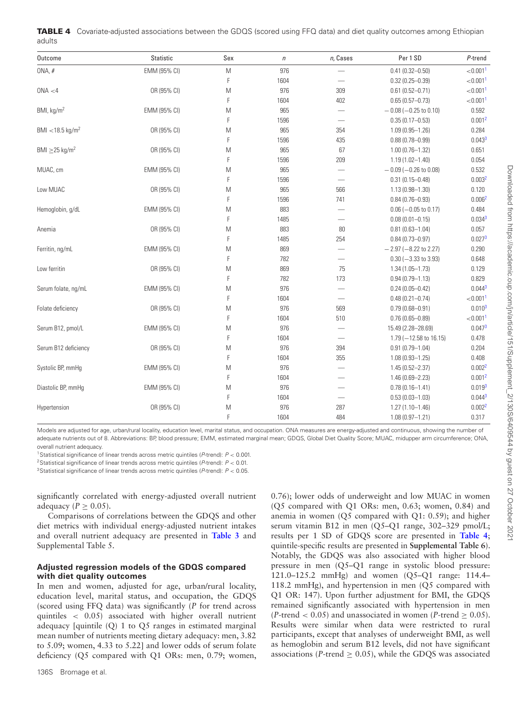| Outcome                         | <b>Statistic</b> | Sex | $\sqrt{n}$ | n, Cases                          | Per 1 SD                          | P-trend                 |
|---------------------------------|------------------|-----|------------|-----------------------------------|-----------------------------------|-------------------------|
| ONA, #                          | EMM (95% CI)     | M   | 976        |                                   | $0.41(0.32 - 0.50)$               | < 0.001 <sup>1</sup>    |
|                                 |                  | F   | 1604       |                                   | $0.32(0.25 - 0.39)$               | < 0.001 <sup>1</sup>    |
| ONA < 4                         | OR (95% CI)      | M   | 976        | 309                               | $0.61(0.52 - 0.71)$               | < 0.001 <sup>1</sup>    |
|                                 |                  | F   | 1604       | 402                               | $0.65(0.57 - 0.73)$               | ${<}0.001$ <sup>1</sup> |
| BMI, kg/m <sup>2</sup>          | EMM (95% CI)     | M   | 965        | $\overline{\phantom{0}}$          | $-0.08$ (-0.25 to 0.10)           | 0.592                   |
|                                 |                  | F   | 1596       |                                   | $0.35(0.17 - 0.53)$               | 0.001 <sup>2</sup>      |
| BMI < 18.5 kg/m <sup>2</sup>    | OR (95% CI)      | M   | 965        | 354                               | $1.09(0.95 - 1.26)$               | 0.284                   |
|                                 |                  | F   | 1596       | 435                               | $0.88(0.78 - 0.99)$               | $0.043^{3}$             |
| BMI $\geq$ 25 kg/m <sup>2</sup> | OR (95% CI)      | M   | 965        | 67                                | $1.00(0.76 - 1.32)$               | 0.651                   |
|                                 |                  | F   | 1596       | 209                               | $1.19(1.02 - 1.40)$               | 0.054                   |
| MUAC, cm                        | EMM (95% CI)     | M   | 965        |                                   | $-0.09$ (-0.26 to 0.08)           | 0.532                   |
|                                 |                  | F   | 1596       |                                   | $0.31(0.15 - 0.48)$               | 0.003 <sup>2</sup>      |
| Low MUAC                        | OR (95% CI)      | M   | 965        | 566                               | $1.13(0.98 - 1.30)$               | 0.120                   |
|                                 |                  | F   | 1596       | 741                               | $0.84(0.76 - 0.93)$               | 0.006 <sup>2</sup>      |
| Hemoglobin, g/dL                | EMM (95% CI)     | M   | 883        |                                   | $0.06 (-0.05 to 0.17)$            | 0.484                   |
|                                 |                  | F   | 1485       | $\overbrace{\phantom{123221111}}$ | $0.08(0.01 - 0.15)$               | 0.034 <sup>3</sup>      |
| Anemia                          | OR (95% CI)      | M   | 883        | 80                                | $0.81(0.63 - 1.04)$               | 0.057                   |
|                                 |                  | F   | 1485       | 254                               | $0.84(0.73 - 0.97)$               | 0.027 <sup>3</sup>      |
| Ferritin, ng/mL                 | EMM (95% CI)     | M   | 869        | $\overbrace{\phantom{123221111}}$ | $-2.97$ (-8.22 to 2.27)           | 0.290                   |
|                                 |                  | F   | 782        |                                   | $0.30 (-3.33$ to 3.93)            | 0.648                   |
| Low ferritin                    | OR (95% CI)      | M   | 869        | 75                                | $1.34(1.05 - 1.73)$               | 0.129                   |
|                                 |                  | F   | 782        | 173                               | $0.94(0.79 - 1.13)$               | 0.829                   |
| Serum folate, ng/mL             | EMM (95% CI)     | M   | 976        |                                   | $0.24(0.05 - 0.42)$               | 0.044 <sup>3</sup>      |
|                                 |                  | F   | 1604       |                                   | $0.48(0.21 - 0.74)$               | < 0.001 <sup>1</sup>    |
| Folate deficiency               | OR (95% CI)      | M   | 976        | 569                               | $0.79(0.68 - 0.91)$               | 0.010 <sup>3</sup>      |
|                                 |                  | F   | 1604       | 510                               | $0.76(0.65 - 0.89)$               | ${<}0.001$ <sup>1</sup> |
| Serum B12, pmol/L               | EMM (95% CI)     | M   | 976        |                                   | 15.49 (2.28-28.69)                | 0.047 <sup>3</sup>      |
|                                 |                  | F   | 1604       |                                   | $1.79 (-12.58 \text{ to } 16.15)$ | 0.478                   |
| Serum B12 deficiency            | OR (95% CI)      | M   | 976        | 394                               | $0.91(0.79 - 1.04)$               | 0.204                   |
|                                 |                  | F   | 1604       | 355                               | $1.08(0.93 - 1.25)$               | 0.408                   |
| Systolic BP, mmHg               | EMM (95% CI)     | M   | 976        | $\overline{\phantom{0}}$          | $1.45(0.52 - 2.37)$               | 0.002 <sup>2</sup>      |
|                                 |                  | F   | 1604       |                                   | $1.46(0.69 - 2.23)$               | 0.001 <sup>2</sup>      |
| Diastolic BP, mmHg              | EMM (95% CI)     | M   | 976        |                                   | $0.78(0.16 - 1.41)$               | 0.019 <sup>3</sup>      |
|                                 |                  | F   | 1604       |                                   | $0.53(0.03 - 1.03)$               | 0.044 <sup>3</sup>      |
| Hypertension                    | OR (95% CI)      | M   | 976        | 287                               | $1.27(1.10 - 1.46)$               | 0.002 <sup>2</sup>      |
|                                 |                  | F   | 1604       | 484                               | $1.08(0.97 - 1.21)$               | 0.317                   |

<span id="page-6-3"></span>

|        | <b>TABLE 4</b> Covariate-adjusted associations between the GDQS (scored using FFQ data) and diet quality outcomes among Ethiopian |
|--------|-----------------------------------------------------------------------------------------------------------------------------------|
| adults |                                                                                                                                   |

Models are adjusted for age, urban/rural locality, education level, marital status, and occupation. ONA measures are energy-adjusted and continuous, showing the number of adequate nutrients out of 8. Abbreviations: BP, blood pressure; EMM, estimated marginal mean; GDQS, Global Diet Quality Score; MUAC, midupper arm circumference; ONA, overall nutrient adequacy.

<span id="page-6-0"></span><sup>1</sup>Statistical significance of linear trends across metric quintiles ( $P$ -trend):  $P < 0.001$ .

<span id="page-6-1"></span><sup>2</sup>Statistical significance of linear trends across metric quintiles (P-trend):  $P < 0.01$ .

<span id="page-6-2"></span><sup>3</sup>Statistical significance of linear trends across metric quintiles (P-trend):  $P < 0.05$ .

significantly correlated with energy-adjusted overall nutrient adequacy ( $P \geq 0.05$ ).

Comparisons of correlations between the GDQS and other diet metrics with individual energy-adjusted nutrient intakes and overall nutrient adequacy are presented in **[Table 3](#page-5-3)** and Supplemental Table 5.

## **Adjusted regression models of the GDQS compared with diet quality outcomes**

In men and women, adjusted for age, urban/rural locality, education level, marital status, and occupation, the GDQS (scored using FFQ data) was significantly (*P* for trend across quintiles < 0.05) associated with higher overall nutrient adequacy [quintile (Q) 1 to Q5 ranges in estimated marginal mean number of nutrients meeting dietary adequacy: men, 3.82 to 5.09; women, 4.33 to 5.22] and lower odds of serum folate deficiency (Q5 compared with Q1 ORs: men, 0.79; women, 0.76); lower odds of underweight and low MUAC in women (Q5 compared with Q1 ORs: men, 0.63; women, 0.84) and anemia in women (Q5 compared with Q1: 0.59); and higher serum vitamin B12 in men (Q5–Q1 range, 302–329 pmol/L; results per 1 SD of GDQS score are presented in **[Table 4](#page-6-3)**; quintile-specific results are presented in **Supplemental Table 6**). Notably, the GDQS was also associated with higher blood pressure in men (Q5–Q1 range in systolic blood pressure: 121.0–125.2 mmHg) and women (Q5–Q1 range: 114.4– 118.2 mmHg), and hypertension in men (Q5 compared with Q1 OR: 147). Upon further adjustment for BMI, the GDQS remained significantly associated with hypertension in men  $(P$ -trend < 0.05) and unassociated in women  $(P$ -trend > 0.05). Results were similar when data were restricted to rural participants, except that analyses of underweight BMI, as well as hemoglobin and serum B12 levels, did not have significant associations ( $P$ -trend  $\geq$  0.05), while the GDQS was associated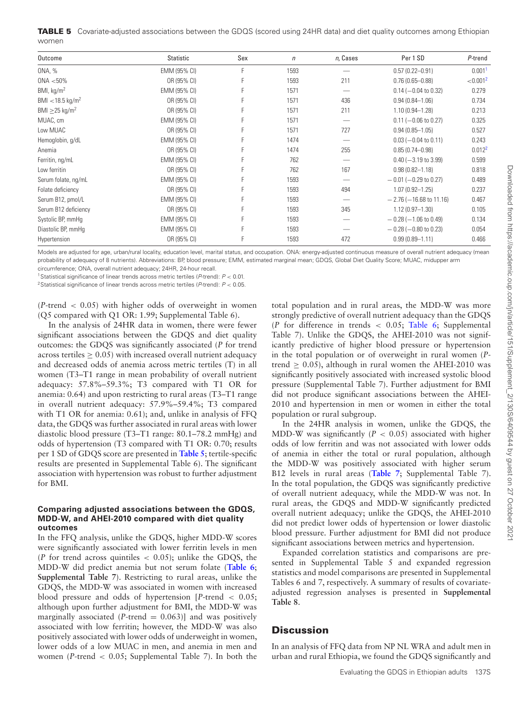<span id="page-7-2"></span>

|       | TABLE 5 Covariate-adjusted associations between the GDQS (scored using 24HR data) and diet quality outcomes among Ethiopian |  |
|-------|-----------------------------------------------------------------------------------------------------------------------------|--|
| women |                                                                                                                             |  |

| Outcome                         | Statistic    | Sex | $\eta$ | n, Cases | Per 1 SD                     | P-trend            |
|---------------------------------|--------------|-----|--------|----------|------------------------------|--------------------|
| ONA, %                          | EMM (95% CI) |     | 1593   |          | $0.57(0.22 - 0.91)$          | 0.001 <sup>1</sup> |
| $0NA < 50\%$                    | OR (95% CI)  |     | 1593   | 211      | $0.76(0.65 - 0.88)$          | ${<}0.0012$        |
| BMI, kg/m <sup>2</sup>          | EMM (95% CI) |     | 1571   |          | $0.14 (-0.04 to 0.32)$       | 0.279              |
| BMI < 18.5 kg/m <sup>2</sup>    | OR (95% CI)  |     | 1571   | 436      | $0.94(0.84 - 1.06)$          | 0.734              |
| BMI $\geq$ 25 kg/m <sup>2</sup> | OR (95% CI)  |     | 1571   | 211      | $1.10(0.94 - 1.28)$          | 0.213              |
| MUAC, cm                        | EMM (95% CI) |     | 1571   |          | $0.11 (-0.06 to 0.27)$       | 0.325              |
| Low MUAC                        | OR (95% CI)  |     | 1571   | 727      | $0.94(0.85 - 1.05)$          | 0.527              |
| Hemoglobin, g/dL                | EMM (95% CI) |     | 1474   |          | $0.03$ (-0.04 to 0.11)       | 0.243              |
| Anemia                          | OR (95% CI)  |     | 1474   | 255      | $0.85(0.74 - 0.98)$          | 0.012 <sup>2</sup> |
| Ferritin, ng/mL                 | EMM (95% CI) |     | 762    |          | $0.40$ (-3.19 to 3.99)       | 0.599              |
| Low ferritin                    | OR (95% CI)  |     | 762    | 167      | $0.98(0.82 - 1.18)$          | 0.818              |
| Serum folate, ng/mL             | EMM (95% CI) |     | 1593   |          | $-0.01$ (-0.29 to 0.27)      | 0.489              |
| Folate deficiency               | OR (95% CI)  |     | 1593   | 494      | $1.07(0.92 - 1.25)$          | 0.237              |
| Serum B12, pmol/L               | EMM (95% CI) |     | 1593   |          | $-2.76$ ( $-16.68$ to 11.16) | 0.467              |
| Serum B12 deficiency            | OR (95% CI)  |     | 1593   | 345      | $1.12(0.97 - 1.30)$          | 0.105              |
| Systolic BP, mmHg               | EMM (95% CI) |     | 1593   |          | $-0.28$ ( $-1.06$ to 0.49)   | 0.134              |
| Diastolic BP, mmHq              | EMM (95% CI) |     | 1593   |          | $-0.28$ ( $-0.80$ to 0.23)   | 0.054              |
| Hypertension                    | OR (95% CI)  |     | 1593   | 472      | $0.99(0.89 - 1.11)$          | 0.466              |

Models are adjusted for age, urban/rural locality, education level, marital status, and occupation. ONA: energy-adjusted continuous measure of overall nutrient adequacy (mean probability of adequacy of 8 nutrients). Abbreviations: BP, blood pressure; EMM, estimated marginal mean; GDQS, Global Diet Quality Score; MUAC, midupper arm circumference; ONA, overall nutrient adequacy; 24HR, 24-hour recall.

<span id="page-7-1"></span><sup>1</sup>Statistical significance of linear trends across metric tertiles (P-trend):  $P < 0.01$ .

<span id="page-7-0"></span><sup>2</sup>Statistical significance of linear trends across metric tertiles (P-trend):  $P < 0.05$ .

(*P*-trend < 0.05) with higher odds of overweight in women (Q5 compared with Q1 OR: 1.99; Supplemental Table 6).

In the analysis of 24HR data in women, there were fewer significant associations between the GDQS and diet quality outcomes: the GDQS was significantly associated (*P* for trend across tertiles  $> 0.05$ ) with increased overall nutrient adequacy and decreased odds of anemia across metric tertiles (T) in all women (T3–T1 range in mean probability of overall nutrient adequacy: 57.8%–59.3%; T3 compared with T1 OR for anemia: 0.64) and upon restricting to rural areas (T3–T1 range in overall nutrient adequacy: 57.9%–59.4%; T3 compared with T1 OR for anemia: 0.61); and, unlike in analysis of FFQ data, the GDQS was further associated in rural areas with lower diastolic blood pressure (T3–T1 range: 80.1–78.2 mmHg) and odds of hypertension (T3 compared with T1 OR: 0.70; results per 1 SD of GDQS score are presented in **[Table 5](#page-7-2)**; tertile-specific results are presented in Supplemental Table 6). The significant association with hypertension was robust to further adjustment for BMI.

### **Comparing adjusted associations between the GDQS, MDD-W, and AHEI-2010 compared with diet quality outcomes**

In the FFQ analysis, unlike the GDQS, higher MDD-W scores were significantly associated with lower ferritin levels in men (*P* for trend across quintiles  $\langle 0.05 \rangle$ ; unlike the GDQS, the MDD-W did predict anemia but not serum folate (**[Table 6](#page-8-0)**; **Supplemental Table 7**). Restricting to rural areas, unlike the GDQS, the MDD-W was associated in women with increased blood pressure and odds of hypertension [*P*-trend < 0.05; although upon further adjustment for BMI, the MDD-W was marginally associated  $(P$ -trend = 0.063)] and was positively associated with low ferritin; however, the MDD-W was also positively associated with lower odds of underweight in women, lower odds of a low MUAC in men, and anemia in men and women (*P*-trend < 0.05; Supplemental Table 7). In both the total population and in rural areas, the MDD-W was more strongly predictive of overall nutrient adequacy than the GDQS (*P* for difference in trends  $\lt$  0.05; [Table 6;](#page-8-0) Supplemental Table 7). Unlike the GDQS, the AHEI-2010 was not significantly predictive of higher blood pressure or hypertension in the total population or of overweight in rural women (*P*trend  $\geq$  0.05), although in rural women the AHEI-2010 was significantly positively associated with increased systolic blood pressure (Supplemental Table 7). Further adjustment for BMI did not produce significant associations between the AHEI-2010 and hypertension in men or women in either the total population or rural subgroup.

In the 24HR analysis in women, unlike the GDQS, the MDD-W was significantly (*P* < 0.05) associated with higher odds of low ferritin and was not associated with lower odds of anemia in either the total or rural population, although the MDD-W was positively associated with higher serum B12 levels in rural areas (**[Table 7](#page-9-0)**; Supplemental Table 7). In the total population, the GDQS was significantly predictive of overall nutrient adequacy, while the MDD-W was not. In rural areas, the GDQS and MDD-W significantly predicted overall nutrient adequacy; unlike the GDQS, the AHEI-2010 did not predict lower odds of hypertension or lower diastolic blood pressure. Further adjustment for BMI did not produce significant associations between metrics and hypertension.

Expanded correlation statistics and comparisons are presented in Supplemental Table 5 and expanded regression statistics and model comparisons are presented in Supplemental Tables 6 and 7, respectively. A summary of results of covariateadjusted regression analyses is presented in **Supplemental Table 8**.

# **Discussion**

In an analysis of FFQ data from NP NL WRA and adult men in urban and rural Ethiopia, we found the GDQS significantly and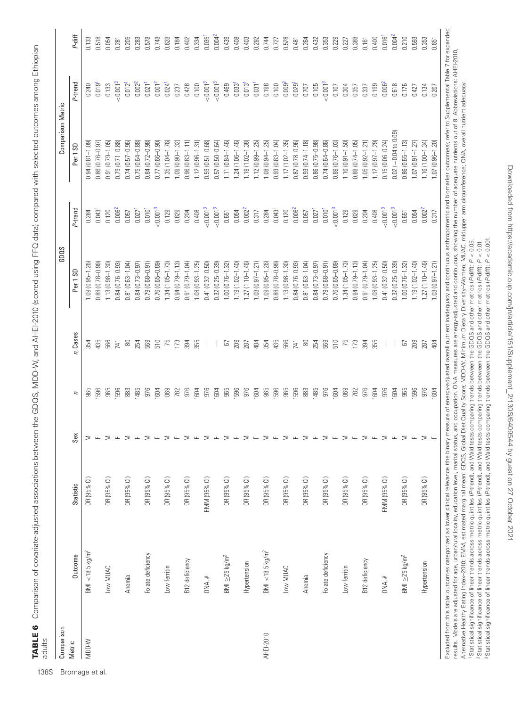| l<br>l<br>۱                                                                                  |       |
|----------------------------------------------------------------------------------------------|-------|
| j<br>I                                                                                       |       |
| サーマ にんこく こくりょく<br>I<br>I<br>֬֕֕                                                              |       |
|                                                                                              |       |
| .<br>נ                                                                                       |       |
| l<br>l                                                                                       |       |
| .<br>;<br>;                                                                                  |       |
| ׅ֧֦֧֧֦֧֪֪ׅ֪֪֪֪ׅ֦֪֪֪֪֪֪֪֪֪֪ׅ֧֚֚֚֚֚֚֚֚֚֚֚֚֚֚֚֚֚֚֡֡֡֡֡֡֡֬֝֓֡֬֓֡֡֬֓֞֝֬֓֓֡֬֓֓֡֬֓֓֓֓֓֡֬֬<br>3<br>1 |       |
| ֖֚֚֚֚֚֚֚֚֚֚֚֚֚֚֚֬֝֝<br>֧֪֚֚֝                                                                 |       |
|                                                                                              |       |
| i                                                                                            |       |
|                                                                                              |       |
| )<br>DI<br>D                                                                                 |       |
| 5<br>}<br>-<br>EEO d.                                                                        |       |
| l<br>י<br>ג                                                                                  |       |
| <br> <br>D<br>D<br>D                                                                         |       |
| .<br>I                                                                                       |       |
|                                                                                              |       |
| ココ コリーピー                                                                                     |       |
| ļ<br>j                                                                                       |       |
|                                                                                              |       |
| $\tilde{\phantom{a}}$                                                                        |       |
|                                                                                              |       |
| -<br>C<br>C<br>)<br>)<br>)                                                                   |       |
|                                                                                              |       |
| ļ<br>$\overline{a}$<br>j<br>କ<br>ତ                                                           |       |
| ă                                                                                            |       |
|                                                                                              |       |
|                                                                                              |       |
|                                                                                              |       |
|                                                                                              |       |
|                                                                                              |       |
| $\frac{1}{2}$                                                                                |       |
| $\ddot{\phantom{a}}$                                                                         |       |
| .<br>.<br>.                                                                                  |       |
|                                                                                              |       |
|                                                                                              |       |
|                                                                                              |       |
|                                                                                              |       |
| くしこう<br>ׇ֚֬<br>י                                                                             | ׇ֘֝֬֕ |

| P-diff<br>$0.004^{2}$<br>$0.004^{2}$<br>0.016 <sup>1</sup><br>$0.035$ <sup>1</sup><br>0.518<br>0.439<br>0.408<br>0.388<br>0.210<br>0.593<br>0.353<br>0.205<br>0.578<br>0.748<br>0.628<br>0.184<br>0.334<br>0.403<br>0.528<br>0.229<br>0.400<br>0.133<br>0.054<br>0.283<br>0.402<br>0.292<br>0.744<br>0.264<br>0.353<br>0.651<br>0.432<br>0.161<br>0.481<br>0.227<br>0.281<br>0.727<br>P-trend<br>< 0.001 <sup>3</sup><br>< 0.001 <sup>3</sup><br>< 0.001 <sup>3</sup><br>< 0.001 <sup>3</sup><br>0.021 <sup>1</sup><br>0.001 <sup>2</sup><br>0.009 <sup>2</sup><br>0.006 <sup>2</sup><br>$0.002^{2}$<br>0.013 <sup>1</sup><br>0.031 <sup>1</sup><br>0.012 <sup>1</sup><br>$0.024$ <sup>1</sup><br>$0.033$ <sup>1</sup><br>$0.029$ <sup>1</sup><br>0.019 <sup>1</sup><br>0.469<br>0.198<br>0.100<br>0.105<br>0.133<br>0.428<br>0.100<br>0.304<br>0.199<br>0.618<br>0.237<br>0.707<br>0.107<br>0.357<br>0.176<br>0.240<br>0.337<br>0.134<br>0.427<br>0.267<br>$0.02$ ( $-0.04$ to $0.09$ )<br>$0.87(0.78 - 0.96)$<br>$0.93(0.74 - 1.18)$<br>$0.74(0.64 - 0.86)$<br>$1.15(0.06 - 0.24)$<br>$0.86(0.65 - 1.13)$<br>$1.16(1.00 - 1.34)$<br>$0.91(0.79 - 1.05)$<br>$0.79(0.71 - 0.88)$<br>$0.74(0.57 - 0.96)$<br>$0.59(0.51 - 0.68)$<br>$0.57(0.50 - 0.64)$<br>$1.11(0.84 - 1.46)$<br>$.24(1.06 - 1.46)$<br>$1.19(1.02 - 1.38)$<br>$1.08(0.94 - 1.25)$<br>$0.93(0.83 - 1.04)$<br>$1.17(1.02 - 1.35)$<br>$0.86(0.75 - 0.98)$<br>$0.89(0.76 - 1.03)$<br>$1.16(0.91 - 1.50)$<br>$0.88(0.74 - 1.05)$<br>$1.12(0.97 - 1.29)$<br>$1.07(0.96 - 1.20)$<br>$0.94(0.81 - 1.09)$<br>$0.75(0.64 - 0.88)$<br>$0.84(0.72 - 0.98)$<br>$0.77(0.66 - 0.90)$<br>$1.35(1.04 - 1.76)$<br>$1.09(0.90 - 1.32)$<br>$0.96(0.83 - 1.11)$<br>$1.12(0.96 - 1.31)$<br>$1.12(0.99 - 1.25)$<br>$1.05(0.92 - 1.21)$<br>$1.07$ $(0.91 - 1.27)$<br>$0.86(0.76 - 0.97)$<br>Per <sub>1</sub> SD<br>< 0.001 <sup>3</sup><br>< 0.001 <sup>3</sup><br>< 0.001 <sup>3</sup><br>$0.002^{2}$<br>< 0.001 <sup>3</sup><br>< 0.001 <sup>3</sup><br>< 0.001 <sup>3</sup><br>P-trend<br>0.006 <sup>2</sup><br>$0.002^{2}$<br>0.006 <sup>2</sup><br>0.010 <sup>1</sup><br>$0.043$ <sup>1</sup><br>$0.027$ <sup>1</sup><br>$0.043$ <sup>1</sup><br>$0.027$ <sup>1</sup><br>0.010 <sup>1</sup><br>0.129<br>0.129<br>0.408<br>0.054<br>0.120<br>0.829<br>0.408<br>0.054<br>0.317<br>0.284<br>0.120<br>0.829<br>0.204<br>0.204<br>0.651<br>0.651<br>0.317<br>0.057<br>0.057<br>0.284<br>$1.27(1.10 - 1.46)$<br>$1.08(0.97 - 1.21)$<br>$0.88(0.78 - 0.99)$<br>$0.32(0.25 - 0.39)$<br>$1.27(1.10 - 1.46)$<br>$0.88(0.78 - 0.99)$<br>$0.81(0.63 - 1.04)$<br>$0.91(0.79 - 1.04)$<br>$1.08(0.93 - 1.25)$<br>$0.41(0.32 - 0.50)$<br>$1.19(1.02 - 1.40)$<br>$1.09(0.95 - 1.26)$<br>$1.13(0.98 - 1.30)$<br>$0.84(0.76 - 0.93)$<br>$0.81(0.63 - 1.04)$<br>$0.79(0.68 - 0.91)$<br>$0.76(0.65 - 0.89)$<br>$1.34(1.05 - 1.73)$<br>$0.94(0.79 - 1.13)$<br>$1.08(0.93 - 1.25)$<br>$0.41(0.32 - 0.50)$<br>$1.00(0.76 - 1.32)$<br>$1.19(1.02 - 1.40)$<br>$1.08(0.97 - 1.21)$<br>$1.09(0.95 - 1.26)$<br>$1.13(0.98 - 1.30)$<br>$0.84(0.76 - 0.93)$<br>$0.84(0.73 - 0.97)$<br>$0.79(0.68 - 0.91)$<br>$0.76(0.65 - 0.89)$<br>$1.34(1.05 - 1.73)$<br>$0.94(0.79 - 1.13)$<br>$0.32(0.25 - 0.39)$<br>$0.84(0.73 - 0.97)$<br>$0.91(0.79 - 1.04)$<br>$1.00(0.76 - 1.32)$<br>Per 1SD<br>n, Cases<br>510<br>209<br>435<br>569<br>510<br>75<br>173<br>209<br>435<br>566<br>$\approx$<br>254<br>569<br>75<br>173<br>394<br>355<br>484<br>354<br>566<br>$\rm 80$<br>254<br>394<br>355<br>484<br>67<br>287<br>741<br>67<br>287<br>354<br>741<br>965<br>976<br>976<br>976<br>976<br>869<br>976<br>965<br>1596<br>596<br>976<br>869<br>1604<br>965<br>1596<br>965<br>1596<br>965<br>1596<br>883<br>1485<br>1604<br>976<br><b>IGO4</b><br><b>I604</b><br>976<br>1604<br>965<br>596<br>883<br>1485<br><b>IGO4</b><br>782<br><b>IGO4</b><br><b>IGO4</b><br>782<br>2<br>Sex<br>$\geq$<br>$\geq$<br>$\geq$<br>$\geq$<br>$\geq$<br>$\geq$<br>$\bar{a}$<br>$\geq$<br>$\geq$<br>$\geq$<br>$\geq$<br>$\geq$<br>$\bar{a}$<br>$\geq$<br>$\bar{a}$<br>$\geq$<br>$\geq$<br>$\mathbf{L}$<br>$\overline{\phantom{a}}$<br>$\geq$<br>$\geq$<br>$\mathbf{L}$<br>$\mathbf{L}$<br>$\geq$<br>$\mathbf{L}$<br>$\mathbf{L}$<br>$\geq$<br>$\mathbf{u}$<br>$\mathbf{L}$<br>$\mathbf{u}$<br>$\overline{\mathbf{L}}$<br>$\mathbf{L}$<br>$\mathbf{L}$<br>$\mathbf{L}$<br>$\mathbf{L}$<br>$\sqcup$<br>OR (95% CI)<br>OR (95% CI)<br>EMM (95% CI)<br>OR (95% CI)<br>OR (95% CI)<br>OR (95% CI)<br>OR (95% CI)<br>OR (95% CI)<br>OR (95% CI)<br>OR (95% CI)<br>EMM (95% CI)<br>OR (95% CI)<br>OR (95% CI)<br>OR (95% CI)<br>OR (95% CI)<br>OR (95% CI)<br>OR (95% CI)<br>OR (95% CI)<br>Statistic<br>$BMI < 18.5 \text{ kg/m}^2$<br>BMI < 18.5 kg/m <sup>2</sup><br>Folate deficiency<br>Folate deficiency<br>Outcome<br>$BMl \geq 25 kg/m2$<br>$BMI \geq 25 kg/m2$<br>B12 deficiency<br>B12 deficiency<br>Hypertension<br>Hypertension<br>Low ferritin<br>Low ferritin<br>Low MUAC<br>Low MUAC<br>Anemia<br>Anemia<br>OMA, H<br>ONA, #<br><b>AHEI-2010</b><br>W-QQM | Comparison |  |  | GDQS | Comparison Metric |  |
|----------------------------------------------------------------------------------------------------------------------------------------------------------------------------------------------------------------------------------------------------------------------------------------------------------------------------------------------------------------------------------------------------------------------------------------------------------------------------------------------------------------------------------------------------------------------------------------------------------------------------------------------------------------------------------------------------------------------------------------------------------------------------------------------------------------------------------------------------------------------------------------------------------------------------------------------------------------------------------------------------------------------------------------------------------------------------------------------------------------------------------------------------------------------------------------------------------------------------------------------------------------------------------------------------------------------------------------------------------------------------------------------------------------------------------------------------------------------------------------------------------------------------------------------------------------------------------------------------------------------------------------------------------------------------------------------------------------------------------------------------------------------------------------------------------------------------------------------------------------------------------------------------------------------------------------------------------------------------------------------------------------------------------------------------------------------------------------------------------------------------------------------------------------------------------------------------------------------------------------------------------------------------------------------------------------------------------------------------------------------------------------------------------------------------------------------------------------------------------------------------------------------------------------------------------------------------------------------------------------------------------------------------------------------------------------------------------------------------------------------------------------------------------------------------------------------------------------------------------------------------------------------------------------------------------------------------------------------------------------------------------------------------------------------------------------------------------------------------------------------------------------------------------------------------------------------------------------------------------------------------------------------------------------------------------------------------------------------------------------------------------------------------------------------------------------------------------------------------------------------------------------------------------------------------------------------------------------------------------------------------------------------------------------------------------------------------------------------------------------------------------------------------------------------------------------------------------------------------------------------------------------------------------------------------------------------------------------------------------------------------------------------------------------------------------------------------------------------------------------------------------------------------------------------------------------------------------------------------------------------------------------------------------------------------------------------------------------------------------------------------------------------------------------------------------------------------------------------------------------------------------------------------------------------------------------------------------------------------------------------------------------------------------------------------------------------------------------------------------------------------------------------------------------------------------------------------------------------------------------------------------------------------------------------------------------------------------------------------------------------------------------------------------------------|------------|--|--|------|-------------------|--|
|                                                                                                                                                                                                                                                                                                                                                                                                                                                                                                                                                                                                                                                                                                                                                                                                                                                                                                                                                                                                                                                                                                                                                                                                                                                                                                                                                                                                                                                                                                                                                                                                                                                                                                                                                                                                                                                                                                                                                                                                                                                                                                                                                                                                                                                                                                                                                                                                                                                                                                                                                                                                                                                                                                                                                                                                                                                                                                                                                                                                                                                                                                                                                                                                                                                                                                                                                                                                                                                                                                                                                                                                                                                                                                                                                                                                                                                                                                                                                                                                                                                                                                                                                                                                                                                                                                                                                                                                                                                                                                                                                                                                                                                                                                                                                                                                                                                                                                                                                                                                                                              | Metric     |  |  |      |                   |  |
|                                                                                                                                                                                                                                                                                                                                                                                                                                                                                                                                                                                                                                                                                                                                                                                                                                                                                                                                                                                                                                                                                                                                                                                                                                                                                                                                                                                                                                                                                                                                                                                                                                                                                                                                                                                                                                                                                                                                                                                                                                                                                                                                                                                                                                                                                                                                                                                                                                                                                                                                                                                                                                                                                                                                                                                                                                                                                                                                                                                                                                                                                                                                                                                                                                                                                                                                                                                                                                                                                                                                                                                                                                                                                                                                                                                                                                                                                                                                                                                                                                                                                                                                                                                                                                                                                                                                                                                                                                                                                                                                                                                                                                                                                                                                                                                                                                                                                                                                                                                                                                              |            |  |  |      |                   |  |
|                                                                                                                                                                                                                                                                                                                                                                                                                                                                                                                                                                                                                                                                                                                                                                                                                                                                                                                                                                                                                                                                                                                                                                                                                                                                                                                                                                                                                                                                                                                                                                                                                                                                                                                                                                                                                                                                                                                                                                                                                                                                                                                                                                                                                                                                                                                                                                                                                                                                                                                                                                                                                                                                                                                                                                                                                                                                                                                                                                                                                                                                                                                                                                                                                                                                                                                                                                                                                                                                                                                                                                                                                                                                                                                                                                                                                                                                                                                                                                                                                                                                                                                                                                                                                                                                                                                                                                                                                                                                                                                                                                                                                                                                                                                                                                                                                                                                                                                                                                                                                                              |            |  |  |      |                   |  |
|                                                                                                                                                                                                                                                                                                                                                                                                                                                                                                                                                                                                                                                                                                                                                                                                                                                                                                                                                                                                                                                                                                                                                                                                                                                                                                                                                                                                                                                                                                                                                                                                                                                                                                                                                                                                                                                                                                                                                                                                                                                                                                                                                                                                                                                                                                                                                                                                                                                                                                                                                                                                                                                                                                                                                                                                                                                                                                                                                                                                                                                                                                                                                                                                                                                                                                                                                                                                                                                                                                                                                                                                                                                                                                                                                                                                                                                                                                                                                                                                                                                                                                                                                                                                                                                                                                                                                                                                                                                                                                                                                                                                                                                                                                                                                                                                                                                                                                                                                                                                                                              |            |  |  |      |                   |  |
|                                                                                                                                                                                                                                                                                                                                                                                                                                                                                                                                                                                                                                                                                                                                                                                                                                                                                                                                                                                                                                                                                                                                                                                                                                                                                                                                                                                                                                                                                                                                                                                                                                                                                                                                                                                                                                                                                                                                                                                                                                                                                                                                                                                                                                                                                                                                                                                                                                                                                                                                                                                                                                                                                                                                                                                                                                                                                                                                                                                                                                                                                                                                                                                                                                                                                                                                                                                                                                                                                                                                                                                                                                                                                                                                                                                                                                                                                                                                                                                                                                                                                                                                                                                                                                                                                                                                                                                                                                                                                                                                                                                                                                                                                                                                                                                                                                                                                                                                                                                                                                              |            |  |  |      |                   |  |
|                                                                                                                                                                                                                                                                                                                                                                                                                                                                                                                                                                                                                                                                                                                                                                                                                                                                                                                                                                                                                                                                                                                                                                                                                                                                                                                                                                                                                                                                                                                                                                                                                                                                                                                                                                                                                                                                                                                                                                                                                                                                                                                                                                                                                                                                                                                                                                                                                                                                                                                                                                                                                                                                                                                                                                                                                                                                                                                                                                                                                                                                                                                                                                                                                                                                                                                                                                                                                                                                                                                                                                                                                                                                                                                                                                                                                                                                                                                                                                                                                                                                                                                                                                                                                                                                                                                                                                                                                                                                                                                                                                                                                                                                                                                                                                                                                                                                                                                                                                                                                                              |            |  |  |      |                   |  |
|                                                                                                                                                                                                                                                                                                                                                                                                                                                                                                                                                                                                                                                                                                                                                                                                                                                                                                                                                                                                                                                                                                                                                                                                                                                                                                                                                                                                                                                                                                                                                                                                                                                                                                                                                                                                                                                                                                                                                                                                                                                                                                                                                                                                                                                                                                                                                                                                                                                                                                                                                                                                                                                                                                                                                                                                                                                                                                                                                                                                                                                                                                                                                                                                                                                                                                                                                                                                                                                                                                                                                                                                                                                                                                                                                                                                                                                                                                                                                                                                                                                                                                                                                                                                                                                                                                                                                                                                                                                                                                                                                                                                                                                                                                                                                                                                                                                                                                                                                                                                                                              |            |  |  |      |                   |  |
|                                                                                                                                                                                                                                                                                                                                                                                                                                                                                                                                                                                                                                                                                                                                                                                                                                                                                                                                                                                                                                                                                                                                                                                                                                                                                                                                                                                                                                                                                                                                                                                                                                                                                                                                                                                                                                                                                                                                                                                                                                                                                                                                                                                                                                                                                                                                                                                                                                                                                                                                                                                                                                                                                                                                                                                                                                                                                                                                                                                                                                                                                                                                                                                                                                                                                                                                                                                                                                                                                                                                                                                                                                                                                                                                                                                                                                                                                                                                                                                                                                                                                                                                                                                                                                                                                                                                                                                                                                                                                                                                                                                                                                                                                                                                                                                                                                                                                                                                                                                                                                              |            |  |  |      |                   |  |
|                                                                                                                                                                                                                                                                                                                                                                                                                                                                                                                                                                                                                                                                                                                                                                                                                                                                                                                                                                                                                                                                                                                                                                                                                                                                                                                                                                                                                                                                                                                                                                                                                                                                                                                                                                                                                                                                                                                                                                                                                                                                                                                                                                                                                                                                                                                                                                                                                                                                                                                                                                                                                                                                                                                                                                                                                                                                                                                                                                                                                                                                                                                                                                                                                                                                                                                                                                                                                                                                                                                                                                                                                                                                                                                                                                                                                                                                                                                                                                                                                                                                                                                                                                                                                                                                                                                                                                                                                                                                                                                                                                                                                                                                                                                                                                                                                                                                                                                                                                                                                                              |            |  |  |      |                   |  |
|                                                                                                                                                                                                                                                                                                                                                                                                                                                                                                                                                                                                                                                                                                                                                                                                                                                                                                                                                                                                                                                                                                                                                                                                                                                                                                                                                                                                                                                                                                                                                                                                                                                                                                                                                                                                                                                                                                                                                                                                                                                                                                                                                                                                                                                                                                                                                                                                                                                                                                                                                                                                                                                                                                                                                                                                                                                                                                                                                                                                                                                                                                                                                                                                                                                                                                                                                                                                                                                                                                                                                                                                                                                                                                                                                                                                                                                                                                                                                                                                                                                                                                                                                                                                                                                                                                                                                                                                                                                                                                                                                                                                                                                                                                                                                                                                                                                                                                                                                                                                                                              |            |  |  |      |                   |  |
|                                                                                                                                                                                                                                                                                                                                                                                                                                                                                                                                                                                                                                                                                                                                                                                                                                                                                                                                                                                                                                                                                                                                                                                                                                                                                                                                                                                                                                                                                                                                                                                                                                                                                                                                                                                                                                                                                                                                                                                                                                                                                                                                                                                                                                                                                                                                                                                                                                                                                                                                                                                                                                                                                                                                                                                                                                                                                                                                                                                                                                                                                                                                                                                                                                                                                                                                                                                                                                                                                                                                                                                                                                                                                                                                                                                                                                                                                                                                                                                                                                                                                                                                                                                                                                                                                                                                                                                                                                                                                                                                                                                                                                                                                                                                                                                                                                                                                                                                                                                                                                              |            |  |  |      |                   |  |
|                                                                                                                                                                                                                                                                                                                                                                                                                                                                                                                                                                                                                                                                                                                                                                                                                                                                                                                                                                                                                                                                                                                                                                                                                                                                                                                                                                                                                                                                                                                                                                                                                                                                                                                                                                                                                                                                                                                                                                                                                                                                                                                                                                                                                                                                                                                                                                                                                                                                                                                                                                                                                                                                                                                                                                                                                                                                                                                                                                                                                                                                                                                                                                                                                                                                                                                                                                                                                                                                                                                                                                                                                                                                                                                                                                                                                                                                                                                                                                                                                                                                                                                                                                                                                                                                                                                                                                                                                                                                                                                                                                                                                                                                                                                                                                                                                                                                                                                                                                                                                                              |            |  |  |      |                   |  |
|                                                                                                                                                                                                                                                                                                                                                                                                                                                                                                                                                                                                                                                                                                                                                                                                                                                                                                                                                                                                                                                                                                                                                                                                                                                                                                                                                                                                                                                                                                                                                                                                                                                                                                                                                                                                                                                                                                                                                                                                                                                                                                                                                                                                                                                                                                                                                                                                                                                                                                                                                                                                                                                                                                                                                                                                                                                                                                                                                                                                                                                                                                                                                                                                                                                                                                                                                                                                                                                                                                                                                                                                                                                                                                                                                                                                                                                                                                                                                                                                                                                                                                                                                                                                                                                                                                                                                                                                                                                                                                                                                                                                                                                                                                                                                                                                                                                                                                                                                                                                                                              |            |  |  |      |                   |  |
|                                                                                                                                                                                                                                                                                                                                                                                                                                                                                                                                                                                                                                                                                                                                                                                                                                                                                                                                                                                                                                                                                                                                                                                                                                                                                                                                                                                                                                                                                                                                                                                                                                                                                                                                                                                                                                                                                                                                                                                                                                                                                                                                                                                                                                                                                                                                                                                                                                                                                                                                                                                                                                                                                                                                                                                                                                                                                                                                                                                                                                                                                                                                                                                                                                                                                                                                                                                                                                                                                                                                                                                                                                                                                                                                                                                                                                                                                                                                                                                                                                                                                                                                                                                                                                                                                                                                                                                                                                                                                                                                                                                                                                                                                                                                                                                                                                                                                                                                                                                                                                              |            |  |  |      |                   |  |
|                                                                                                                                                                                                                                                                                                                                                                                                                                                                                                                                                                                                                                                                                                                                                                                                                                                                                                                                                                                                                                                                                                                                                                                                                                                                                                                                                                                                                                                                                                                                                                                                                                                                                                                                                                                                                                                                                                                                                                                                                                                                                                                                                                                                                                                                                                                                                                                                                                                                                                                                                                                                                                                                                                                                                                                                                                                                                                                                                                                                                                                                                                                                                                                                                                                                                                                                                                                                                                                                                                                                                                                                                                                                                                                                                                                                                                                                                                                                                                                                                                                                                                                                                                                                                                                                                                                                                                                                                                                                                                                                                                                                                                                                                                                                                                                                                                                                                                                                                                                                                                              |            |  |  |      |                   |  |
|                                                                                                                                                                                                                                                                                                                                                                                                                                                                                                                                                                                                                                                                                                                                                                                                                                                                                                                                                                                                                                                                                                                                                                                                                                                                                                                                                                                                                                                                                                                                                                                                                                                                                                                                                                                                                                                                                                                                                                                                                                                                                                                                                                                                                                                                                                                                                                                                                                                                                                                                                                                                                                                                                                                                                                                                                                                                                                                                                                                                                                                                                                                                                                                                                                                                                                                                                                                                                                                                                                                                                                                                                                                                                                                                                                                                                                                                                                                                                                                                                                                                                                                                                                                                                                                                                                                                                                                                                                                                                                                                                                                                                                                                                                                                                                                                                                                                                                                                                                                                                                              |            |  |  |      |                   |  |
|                                                                                                                                                                                                                                                                                                                                                                                                                                                                                                                                                                                                                                                                                                                                                                                                                                                                                                                                                                                                                                                                                                                                                                                                                                                                                                                                                                                                                                                                                                                                                                                                                                                                                                                                                                                                                                                                                                                                                                                                                                                                                                                                                                                                                                                                                                                                                                                                                                                                                                                                                                                                                                                                                                                                                                                                                                                                                                                                                                                                                                                                                                                                                                                                                                                                                                                                                                                                                                                                                                                                                                                                                                                                                                                                                                                                                                                                                                                                                                                                                                                                                                                                                                                                                                                                                                                                                                                                                                                                                                                                                                                                                                                                                                                                                                                                                                                                                                                                                                                                                                              |            |  |  |      |                   |  |
|                                                                                                                                                                                                                                                                                                                                                                                                                                                                                                                                                                                                                                                                                                                                                                                                                                                                                                                                                                                                                                                                                                                                                                                                                                                                                                                                                                                                                                                                                                                                                                                                                                                                                                                                                                                                                                                                                                                                                                                                                                                                                                                                                                                                                                                                                                                                                                                                                                                                                                                                                                                                                                                                                                                                                                                                                                                                                                                                                                                                                                                                                                                                                                                                                                                                                                                                                                                                                                                                                                                                                                                                                                                                                                                                                                                                                                                                                                                                                                                                                                                                                                                                                                                                                                                                                                                                                                                                                                                                                                                                                                                                                                                                                                                                                                                                                                                                                                                                                                                                                                              |            |  |  |      |                   |  |
|                                                                                                                                                                                                                                                                                                                                                                                                                                                                                                                                                                                                                                                                                                                                                                                                                                                                                                                                                                                                                                                                                                                                                                                                                                                                                                                                                                                                                                                                                                                                                                                                                                                                                                                                                                                                                                                                                                                                                                                                                                                                                                                                                                                                                                                                                                                                                                                                                                                                                                                                                                                                                                                                                                                                                                                                                                                                                                                                                                                                                                                                                                                                                                                                                                                                                                                                                                                                                                                                                                                                                                                                                                                                                                                                                                                                                                                                                                                                                                                                                                                                                                                                                                                                                                                                                                                                                                                                                                                                                                                                                                                                                                                                                                                                                                                                                                                                                                                                                                                                                                              |            |  |  |      |                   |  |
|                                                                                                                                                                                                                                                                                                                                                                                                                                                                                                                                                                                                                                                                                                                                                                                                                                                                                                                                                                                                                                                                                                                                                                                                                                                                                                                                                                                                                                                                                                                                                                                                                                                                                                                                                                                                                                                                                                                                                                                                                                                                                                                                                                                                                                                                                                                                                                                                                                                                                                                                                                                                                                                                                                                                                                                                                                                                                                                                                                                                                                                                                                                                                                                                                                                                                                                                                                                                                                                                                                                                                                                                                                                                                                                                                                                                                                                                                                                                                                                                                                                                                                                                                                                                                                                                                                                                                                                                                                                                                                                                                                                                                                                                                                                                                                                                                                                                                                                                                                                                                                              |            |  |  |      |                   |  |
|                                                                                                                                                                                                                                                                                                                                                                                                                                                                                                                                                                                                                                                                                                                                                                                                                                                                                                                                                                                                                                                                                                                                                                                                                                                                                                                                                                                                                                                                                                                                                                                                                                                                                                                                                                                                                                                                                                                                                                                                                                                                                                                                                                                                                                                                                                                                                                                                                                                                                                                                                                                                                                                                                                                                                                                                                                                                                                                                                                                                                                                                                                                                                                                                                                                                                                                                                                                                                                                                                                                                                                                                                                                                                                                                                                                                                                                                                                                                                                                                                                                                                                                                                                                                                                                                                                                                                                                                                                                                                                                                                                                                                                                                                                                                                                                                                                                                                                                                                                                                                                              |            |  |  |      |                   |  |
|                                                                                                                                                                                                                                                                                                                                                                                                                                                                                                                                                                                                                                                                                                                                                                                                                                                                                                                                                                                                                                                                                                                                                                                                                                                                                                                                                                                                                                                                                                                                                                                                                                                                                                                                                                                                                                                                                                                                                                                                                                                                                                                                                                                                                                                                                                                                                                                                                                                                                                                                                                                                                                                                                                                                                                                                                                                                                                                                                                                                                                                                                                                                                                                                                                                                                                                                                                                                                                                                                                                                                                                                                                                                                                                                                                                                                                                                                                                                                                                                                                                                                                                                                                                                                                                                                                                                                                                                                                                                                                                                                                                                                                                                                                                                                                                                                                                                                                                                                                                                                                              |            |  |  |      |                   |  |
|                                                                                                                                                                                                                                                                                                                                                                                                                                                                                                                                                                                                                                                                                                                                                                                                                                                                                                                                                                                                                                                                                                                                                                                                                                                                                                                                                                                                                                                                                                                                                                                                                                                                                                                                                                                                                                                                                                                                                                                                                                                                                                                                                                                                                                                                                                                                                                                                                                                                                                                                                                                                                                                                                                                                                                                                                                                                                                                                                                                                                                                                                                                                                                                                                                                                                                                                                                                                                                                                                                                                                                                                                                                                                                                                                                                                                                                                                                                                                                                                                                                                                                                                                                                                                                                                                                                                                                                                                                                                                                                                                                                                                                                                                                                                                                                                                                                                                                                                                                                                                                              |            |  |  |      |                   |  |
|                                                                                                                                                                                                                                                                                                                                                                                                                                                                                                                                                                                                                                                                                                                                                                                                                                                                                                                                                                                                                                                                                                                                                                                                                                                                                                                                                                                                                                                                                                                                                                                                                                                                                                                                                                                                                                                                                                                                                                                                                                                                                                                                                                                                                                                                                                                                                                                                                                                                                                                                                                                                                                                                                                                                                                                                                                                                                                                                                                                                                                                                                                                                                                                                                                                                                                                                                                                                                                                                                                                                                                                                                                                                                                                                                                                                                                                                                                                                                                                                                                                                                                                                                                                                                                                                                                                                                                                                                                                                                                                                                                                                                                                                                                                                                                                                                                                                                                                                                                                                                                              |            |  |  |      |                   |  |
|                                                                                                                                                                                                                                                                                                                                                                                                                                                                                                                                                                                                                                                                                                                                                                                                                                                                                                                                                                                                                                                                                                                                                                                                                                                                                                                                                                                                                                                                                                                                                                                                                                                                                                                                                                                                                                                                                                                                                                                                                                                                                                                                                                                                                                                                                                                                                                                                                                                                                                                                                                                                                                                                                                                                                                                                                                                                                                                                                                                                                                                                                                                                                                                                                                                                                                                                                                                                                                                                                                                                                                                                                                                                                                                                                                                                                                                                                                                                                                                                                                                                                                                                                                                                                                                                                                                                                                                                                                                                                                                                                                                                                                                                                                                                                                                                                                                                                                                                                                                                                                              |            |  |  |      |                   |  |
|                                                                                                                                                                                                                                                                                                                                                                                                                                                                                                                                                                                                                                                                                                                                                                                                                                                                                                                                                                                                                                                                                                                                                                                                                                                                                                                                                                                                                                                                                                                                                                                                                                                                                                                                                                                                                                                                                                                                                                                                                                                                                                                                                                                                                                                                                                                                                                                                                                                                                                                                                                                                                                                                                                                                                                                                                                                                                                                                                                                                                                                                                                                                                                                                                                                                                                                                                                                                                                                                                                                                                                                                                                                                                                                                                                                                                                                                                                                                                                                                                                                                                                                                                                                                                                                                                                                                                                                                                                                                                                                                                                                                                                                                                                                                                                                                                                                                                                                                                                                                                                              |            |  |  |      |                   |  |
|                                                                                                                                                                                                                                                                                                                                                                                                                                                                                                                                                                                                                                                                                                                                                                                                                                                                                                                                                                                                                                                                                                                                                                                                                                                                                                                                                                                                                                                                                                                                                                                                                                                                                                                                                                                                                                                                                                                                                                                                                                                                                                                                                                                                                                                                                                                                                                                                                                                                                                                                                                                                                                                                                                                                                                                                                                                                                                                                                                                                                                                                                                                                                                                                                                                                                                                                                                                                                                                                                                                                                                                                                                                                                                                                                                                                                                                                                                                                                                                                                                                                                                                                                                                                                                                                                                                                                                                                                                                                                                                                                                                                                                                                                                                                                                                                                                                                                                                                                                                                                                              |            |  |  |      |                   |  |
|                                                                                                                                                                                                                                                                                                                                                                                                                                                                                                                                                                                                                                                                                                                                                                                                                                                                                                                                                                                                                                                                                                                                                                                                                                                                                                                                                                                                                                                                                                                                                                                                                                                                                                                                                                                                                                                                                                                                                                                                                                                                                                                                                                                                                                                                                                                                                                                                                                                                                                                                                                                                                                                                                                                                                                                                                                                                                                                                                                                                                                                                                                                                                                                                                                                                                                                                                                                                                                                                                                                                                                                                                                                                                                                                                                                                                                                                                                                                                                                                                                                                                                                                                                                                                                                                                                                                                                                                                                                                                                                                                                                                                                                                                                                                                                                                                                                                                                                                                                                                                                              |            |  |  |      |                   |  |
|                                                                                                                                                                                                                                                                                                                                                                                                                                                                                                                                                                                                                                                                                                                                                                                                                                                                                                                                                                                                                                                                                                                                                                                                                                                                                                                                                                                                                                                                                                                                                                                                                                                                                                                                                                                                                                                                                                                                                                                                                                                                                                                                                                                                                                                                                                                                                                                                                                                                                                                                                                                                                                                                                                                                                                                                                                                                                                                                                                                                                                                                                                                                                                                                                                                                                                                                                                                                                                                                                                                                                                                                                                                                                                                                                                                                                                                                                                                                                                                                                                                                                                                                                                                                                                                                                                                                                                                                                                                                                                                                                                                                                                                                                                                                                                                                                                                                                                                                                                                                                                              |            |  |  |      |                   |  |
|                                                                                                                                                                                                                                                                                                                                                                                                                                                                                                                                                                                                                                                                                                                                                                                                                                                                                                                                                                                                                                                                                                                                                                                                                                                                                                                                                                                                                                                                                                                                                                                                                                                                                                                                                                                                                                                                                                                                                                                                                                                                                                                                                                                                                                                                                                                                                                                                                                                                                                                                                                                                                                                                                                                                                                                                                                                                                                                                                                                                                                                                                                                                                                                                                                                                                                                                                                                                                                                                                                                                                                                                                                                                                                                                                                                                                                                                                                                                                                                                                                                                                                                                                                                                                                                                                                                                                                                                                                                                                                                                                                                                                                                                                                                                                                                                                                                                                                                                                                                                                                              |            |  |  |      |                   |  |
|                                                                                                                                                                                                                                                                                                                                                                                                                                                                                                                                                                                                                                                                                                                                                                                                                                                                                                                                                                                                                                                                                                                                                                                                                                                                                                                                                                                                                                                                                                                                                                                                                                                                                                                                                                                                                                                                                                                                                                                                                                                                                                                                                                                                                                                                                                                                                                                                                                                                                                                                                                                                                                                                                                                                                                                                                                                                                                                                                                                                                                                                                                                                                                                                                                                                                                                                                                                                                                                                                                                                                                                                                                                                                                                                                                                                                                                                                                                                                                                                                                                                                                                                                                                                                                                                                                                                                                                                                                                                                                                                                                                                                                                                                                                                                                                                                                                                                                                                                                                                                                              |            |  |  |      |                   |  |
|                                                                                                                                                                                                                                                                                                                                                                                                                                                                                                                                                                                                                                                                                                                                                                                                                                                                                                                                                                                                                                                                                                                                                                                                                                                                                                                                                                                                                                                                                                                                                                                                                                                                                                                                                                                                                                                                                                                                                                                                                                                                                                                                                                                                                                                                                                                                                                                                                                                                                                                                                                                                                                                                                                                                                                                                                                                                                                                                                                                                                                                                                                                                                                                                                                                                                                                                                                                                                                                                                                                                                                                                                                                                                                                                                                                                                                                                                                                                                                                                                                                                                                                                                                                                                                                                                                                                                                                                                                                                                                                                                                                                                                                                                                                                                                                                                                                                                                                                                                                                                                              |            |  |  |      |                   |  |
|                                                                                                                                                                                                                                                                                                                                                                                                                                                                                                                                                                                                                                                                                                                                                                                                                                                                                                                                                                                                                                                                                                                                                                                                                                                                                                                                                                                                                                                                                                                                                                                                                                                                                                                                                                                                                                                                                                                                                                                                                                                                                                                                                                                                                                                                                                                                                                                                                                                                                                                                                                                                                                                                                                                                                                                                                                                                                                                                                                                                                                                                                                                                                                                                                                                                                                                                                                                                                                                                                                                                                                                                                                                                                                                                                                                                                                                                                                                                                                                                                                                                                                                                                                                                                                                                                                                                                                                                                                                                                                                                                                                                                                                                                                                                                                                                                                                                                                                                                                                                                                              |            |  |  |      |                   |  |
|                                                                                                                                                                                                                                                                                                                                                                                                                                                                                                                                                                                                                                                                                                                                                                                                                                                                                                                                                                                                                                                                                                                                                                                                                                                                                                                                                                                                                                                                                                                                                                                                                                                                                                                                                                                                                                                                                                                                                                                                                                                                                                                                                                                                                                                                                                                                                                                                                                                                                                                                                                                                                                                                                                                                                                                                                                                                                                                                                                                                                                                                                                                                                                                                                                                                                                                                                                                                                                                                                                                                                                                                                                                                                                                                                                                                                                                                                                                                                                                                                                                                                                                                                                                                                                                                                                                                                                                                                                                                                                                                                                                                                                                                                                                                                                                                                                                                                                                                                                                                                                              |            |  |  |      |                   |  |
|                                                                                                                                                                                                                                                                                                                                                                                                                                                                                                                                                                                                                                                                                                                                                                                                                                                                                                                                                                                                                                                                                                                                                                                                                                                                                                                                                                                                                                                                                                                                                                                                                                                                                                                                                                                                                                                                                                                                                                                                                                                                                                                                                                                                                                                                                                                                                                                                                                                                                                                                                                                                                                                                                                                                                                                                                                                                                                                                                                                                                                                                                                                                                                                                                                                                                                                                                                                                                                                                                                                                                                                                                                                                                                                                                                                                                                                                                                                                                                                                                                                                                                                                                                                                                                                                                                                                                                                                                                                                                                                                                                                                                                                                                                                                                                                                                                                                                                                                                                                                                                              |            |  |  |      |                   |  |
|                                                                                                                                                                                                                                                                                                                                                                                                                                                                                                                                                                                                                                                                                                                                                                                                                                                                                                                                                                                                                                                                                                                                                                                                                                                                                                                                                                                                                                                                                                                                                                                                                                                                                                                                                                                                                                                                                                                                                                                                                                                                                                                                                                                                                                                                                                                                                                                                                                                                                                                                                                                                                                                                                                                                                                                                                                                                                                                                                                                                                                                                                                                                                                                                                                                                                                                                                                                                                                                                                                                                                                                                                                                                                                                                                                                                                                                                                                                                                                                                                                                                                                                                                                                                                                                                                                                                                                                                                                                                                                                                                                                                                                                                                                                                                                                                                                                                                                                                                                                                                                              |            |  |  |      |                   |  |
|                                                                                                                                                                                                                                                                                                                                                                                                                                                                                                                                                                                                                                                                                                                                                                                                                                                                                                                                                                                                                                                                                                                                                                                                                                                                                                                                                                                                                                                                                                                                                                                                                                                                                                                                                                                                                                                                                                                                                                                                                                                                                                                                                                                                                                                                                                                                                                                                                                                                                                                                                                                                                                                                                                                                                                                                                                                                                                                                                                                                                                                                                                                                                                                                                                                                                                                                                                                                                                                                                                                                                                                                                                                                                                                                                                                                                                                                                                                                                                                                                                                                                                                                                                                                                                                                                                                                                                                                                                                                                                                                                                                                                                                                                                                                                                                                                                                                                                                                                                                                                                              |            |  |  |      |                   |  |

results. Models are adjusted for age, urban/ural locality, education level, marital status, and occupation. ONA measures are energy-adjusted and continuous, showing the number of adequate nutrients out of 8. Abbreviations:

results. Models are adjusted for age, urban/tural locality, education level, marital status, and occupation. ONA measures are energy-adjusted and continuous, showing the number of adequate nutrients out of 8. Abbreviations

Alternative Healthy Eating Index–2010; EMM, estimated marginal marginal marginal Diet Quality Score; WDD-W, Minimum Dietary Diversity–Women; MUAC, midupper arm circumference; ONA, overall nutrient adequacy.

Alternative Healthy Eating Index-2010; EMM, estimated marginal mean; GDQS, Global Diet Quality Score; MDD-W, Minimum Dietary Diversity-Women; MUAC, midupper arm circumference; ONA, overall nutrient adequacy.

<span id="page-8-3"></span><span id="page-8-2"></span><span id="page-8-1"></span>1Statistical significance of linear trends across metric quintiles (P-trend), and Wald tests comparing trends between the GDQS and other metrics (P-diff): P < 0.05. 2Statistical significance of linear trends across metric quintiles (P-trend), and Wald tests comparing trends between the GDQS and other metrics (P-diff): P < 0.01. 3Statistical significance of linear trends across metric quintiles (P-trend), and Wald tests comparing trends between the GDQS and other metrics (P-diff): P < 0.001.

<span id="page-8-0"></span>' Istatistical significance of linear trends across metric quintiles (P-trend), and Wald tests comparing trends between the GDQS and other metrics (Pdiff): P < 0.05.<br><sup>2</sup>Statistical significance of linear trends across met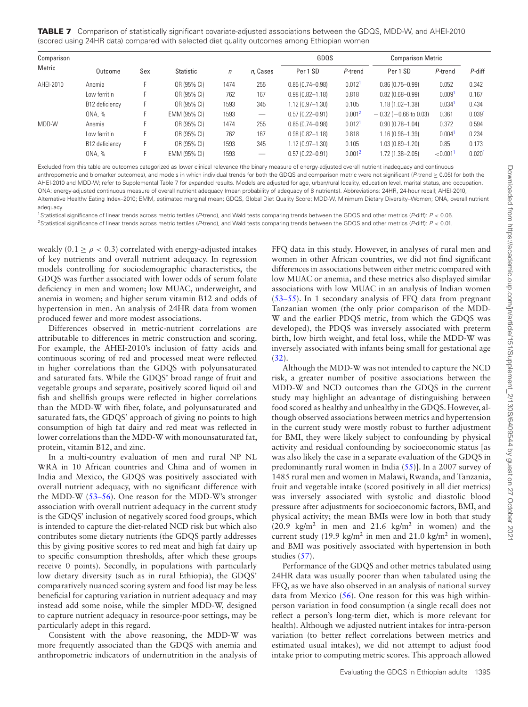<span id="page-9-0"></span>**TABLE 7** Comparison of statistically significant covariate-adjusted associations between the GDQS, MDD-W, and AHEI-2010 (scored using 24HR data) compared with selected diet quality outcomes among Ethiopian women

| Comparison |                |     |              |            |                          | GDQS                |                    | <b>Comparison Metric</b> |                         |                    |
|------------|----------------|-----|--------------|------------|--------------------------|---------------------|--------------------|--------------------------|-------------------------|--------------------|
| Metric     | Outcome        | Sex | Statistic    | $\sqrt{n}$ | n, Cases                 | Per 1 SD            | P-trend            | Per 1 SD                 | P-trend                 | P-diff             |
| AHEI-2010  | Anemia         |     | OR (95% CI)  | 1474       | 255                      | $0.85(0.74 - 0.98)$ | 0.012 <sup>1</sup> | $0.86(0.75 - 0.99)$      | 0.052                   | 0.342              |
|            | Low ferritin   |     | OR (95% CI)  | 762        | 167                      | $0.98(0.82 - 1.18)$ | 0.818              | $0.82(0.68 - 0.99)$      | 0.009                   | 0.167              |
|            | B12 deficiency |     | OR (95% CI)  | 1593       | 345                      | $1.12(0.97 - 1.30)$ | 0.105              | $1.18(1.02 - 1.38)$      | $0.034$ <sup>1</sup>    | 0.434              |
|            | ONA. %         |     | EMM (95% CI) | 1593       | $\overline{\phantom{m}}$ | $0.57(0.22 - 0.91)$ | 0.001 <sup>2</sup> | $-0.32$ (-0.66 to 0.03)  | 0.361                   | 0.039 <sup>1</sup> |
| MDD-W      | Anemia         |     | OR (95% CI)  | 1474       | 255                      | $0.85(0.74 - 0.98)$ | 0.012 <sup>1</sup> | $0.90(0.78 - 1.04)$      | 0.372                   | 0.594              |
|            | Low ferritin   |     | OR (95% CI)  | 762        | 167                      | $0.98(0.82 - 1.18)$ | 0.818              | $1.16(0.96 - 1.39)$      | 0.004                   | 0.234              |
|            | B12 deficiency |     | OR (95% CI)  | 1593       | 345                      | $1.12(0.97 - 1.30)$ | 0.105              | $1.03(0.89 - 1.20)$      | 0.85                    | 0.173              |
|            | ONA, %         |     | EMM (95% CI) | 1593       |                          | $0.57(0.22 - 0.91)$ | 0.001 <sup>2</sup> | $1.72(1.38 - 2.05)$      | ${<}0.001$ <sup>1</sup> | 0.020 <sup>1</sup> |

Excluded from this table are outcomes categorized as lower clinical relevance (the binary measure of energy-adjusted overall nutrient inadequacy and continuous anthropometric and biomarker outcomes), and models in which individual trends for both the GDQS and comparison metric were not significant (P-trend > 0.05) for both the AHEI-2010 and MDD-W; refer to Supplemental Table 7 for expanded results. Models are adjusted for age, urban/rural locality, education level, marital status, and occupation. ONA: energy-adjusted continuous measure of overall nutrient adequacy (mean probability of adequacy of 8 nutrients). Abbreviations: 24HR, 24-hour recall; AHEI-2010, Alternative Healthy Eating Index–2010; EMM, estimated marginal mean; GDQS, Global Diet Quality Score; MDD-W, Minimum Dietary Diversity–Women; ONA, overall nutrient adequacy.

<span id="page-9-2"></span><span id="page-9-1"></span><sup>1</sup>Statistical significance of linear trends across metric tertiles (P-trend), and Wald tests comparing trends between the GDQS and other metrics (P-diff):  $P < 0.05$ <sup>2</sup>Statistical significance of linear trends across metric tertiles (P-trend), and Wald tests comparing trends between the GDQS and other metrics (P-diff):  $P < 0.01$ .

weakly (0.1  $\geq \rho < 0.3$ ) correlated with energy-adjusted intakes of key nutrients and overall nutrient adequacy. In regression models controlling for sociodemographic characteristics, the GDQS was further associated with lower odds of serum folate deficiency in men and women; low MUAC, underweight, and anemia in women; and higher serum vitamin B12 and odds of hypertension in men. An analysis of 24HR data from women produced fewer and more modest associations.

Differences observed in metric-nutrient correlations are attributable to differences in metric construction and scoring. For example, the AHEI-2010's inclusion of fatty acids and continuous scoring of red and processed meat were reflected in higher correlations than the GDQS with polyunsaturated and saturated fats. While the GDQS' broad range of fruit and vegetable groups and separate, positively scored liquid oil and fish and shellfish groups were reflected in higher correlations than the MDD-W with fiber, folate, and polyunsaturated and saturated fats, the GDQS' approach of giving no points to high consumption of high fat dairy and red meat was reflected in lower correlations than the MDD-W with monounsaturated fat, protein, vitamin B12, and zinc.

In a multi-country evaluation of men and rural NP NL WRA in 10 African countries and China and of women in India and Mexico, the GDQS was positively associated with overall nutrient adequacy, with no significant difference with the MDD-W [\(53–56\)](#page-11-29). One reason for the MDD-W's stronger association with overall nutrient adequacy in the current study is the GDQS' inclusion of negatively scored food groups, which is intended to capture the diet-related NCD risk but which also contributes some dietary nutrients (the GDQS partly addresses this by giving positive scores to red meat and high fat dairy up to specific consumption thresholds, after which these groups receive 0 points). Secondly, in populations with particularly low dietary diversity (such as in rural Ethiopia), the GDQS' comparatively nuanced scoring system and food list may be less beneficial for capturing variation in nutrient adequacy and may instead add some noise, while the simpler MDD-W, designed to capture nutrient adequacy in resource-poor settings, may be particularly adept in this regard.

Consistent with the above reasoning, the MDD-W was more frequently associated than the GDQS with anemia and anthropometric indicators of undernutrition in the analysis of FFQ data in this study. However, in analyses of rural men and women in other African countries, we did not find significant differences in associations between either metric compared with low MUAC or anemia, and these metrics also displayed similar associations with low MUAC in an analysis of Indian women [\(53–55\)](#page-11-29). In 1 secondary analysis of FFQ data from pregnant Tanzanian women (the only prior comparison of the MDD-W and the earlier PDQS metric, from which the GDQS was developed), the PDQS was inversely associated with preterm birth, low birth weight, and fetal loss, while the MDD-W was inversely associated with infants being small for gestational age [\(32\)](#page-11-30).

Although the MDD-W was not intended to capture the NCD risk, a greater number of positive associations between the MDD-W and NCD outcomes than the GDQS in the current study may highlight an advantage of distinguishing between food scored as healthy and unhealthy in the GDQS. However, although observed associations between metrics and hypertension in the current study were mostly robust to further adjustment for BMI, they were likely subject to confounding by physical activity and residual confounding by socioeconomic status [as was also likely the case in a separate evaluation of the GDQS in predominantly rural women in India [\(55\)](#page-12-0)]. In a 2007 survey of 1485 rural men and women in Malawi, Rwanda, and Tanzania, fruit and vegetable intake (scored positively in all diet metrics) was inversely associated with systolic and diastolic blood pressure after adjustments for socioeconomic factors, BMI, and physical activity; the mean BMIs were low in both that study  $(20.9 \text{ kg/m}^2 \text{ in men and } 21.6 \text{ kg/m}^2 \text{ in women})$  and the current study (19.9 kg/m<sup>2</sup> in men and 21.0 kg/m<sup>2</sup> in women), and BMI was positively associated with hypertension in both studies [\(57\)](#page-12-1).

Performance of the GDQS and other metrics tabulated using 24HR data was usually poorer than when tabulated using the FFQ, as we have also observed in an analysis of national survey data from Mexico  $(56)$ . One reason for this was high withinperson variation in food consumption (a single recall does not reflect a person's long-term diet, which is more relevant for health). Although we adjusted nutrient intakes for intra-person variation (to better reflect correlations between metrics and estimated usual intakes), we did not attempt to adjust food intake prior to computing metric scores. This approach allowed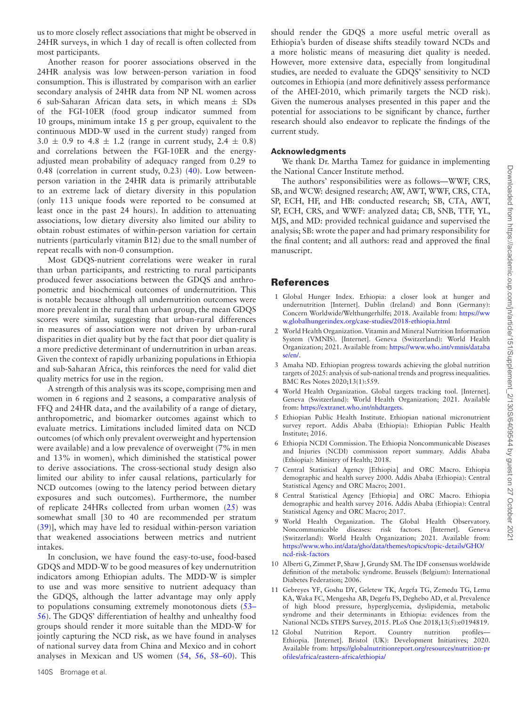us to more closely reflect associations that might be observed in 24HR surveys, in which 1 day of recall is often collected from most participants.

Another reason for poorer associations observed in the 24HR analysis was low between-person variation in food consumption. This is illustrated by comparison with an earlier secondary analysis of 24HR data from NP NL women across 6 sub-Saharan African data sets, in which means  $\pm$  SDs of the FGI-10ER (food group indicator summed from 10 groups, minimum intake 15 g per group, equivalent to the continuous MDD-W used in the current study) ranged from  $3.0 \pm 0.9$  to  $4.8 \pm 1.2$  (range in current study,  $2.4 \pm 0.8$ ) and correlations between the FGI-10ER and the energyadjusted mean probability of adequacy ranged from 0.29 to 0.48 (correlation in current study, 0.23) [\(40\)](#page-11-31). Low betweenperson variation in the 24HR data is primarily attributable to an extreme lack of dietary diversity in this population (only 113 unique foods were reported to be consumed at least once in the past 24 hours). In addition to attenuating associations, low dietary diversity also limited our ability to obtain robust estimates of within-person variation for certain nutrients (particularly vitamin B12) due to the small number of repeat recalls with non-0 consumption.

Most GDQS-nutrient correlations were weaker in rural than urban participants, and restricting to rural participants produced fewer associations between the GDQS and anthropometric and biochemical outcomes of undernutrition. This is notable because although all undernutrition outcomes were more prevalent in the rural than urban group, the mean GDQS scores were similar, suggesting that urban-rural differences in measures of association were not driven by urban-rural disparities in diet quality but by the fact that poor diet quality is a more predictive determinant of undernutrition in urban areas. Given the context of rapidly urbanizing populations in Ethiopia and sub-Saharan Africa, this reinforces the need for valid diet quality metrics for use in the region.

A strength of this analysis was its scope, comprising men and women in 6 regions and 2 seasons, a comparative analysis of FFQ and 24HR data, and the availability of a range of dietary, anthropometric, and biomarker outcomes against which to evaluate metrics. Limitations included limited data on NCD outcomes (of which only prevalent overweight and hypertension were available) and a low prevalence of overweight (7% in men and 13% in women), which diminished the statistical power to derive associations. The cross-sectional study design also limited our ability to infer causal relations, particularly for NCD outcomes (owing to the latency period between dietary exposures and such outcomes). Furthermore, the number of replicate 24HRs collected from urban women [\(25\)](#page-11-32) was somewhat small [30 to 40 are recommended per stratum [\(39\)](#page-11-19)], which may have led to residual within-person variation that weakened associations between metrics and nutrient intakes.

In conclusion, we have found the easy-to-use, food-based GDQS and MDD-W to be good measures of key undernutrition indicators among Ethiopian adults. The MDD-W is simpler to use and was more sensitive to nutrient adequacy than the GDQS, although the latter advantage may only apply [to populations consuming extremely monotonous diets \(53–](#page-11-29) 56). The GDQS' differentiation of healthy and unhealthy food groups should render it more suitable than the MDD-W for jointly capturing the NCD risk, as we have found in analyses of national survey data from China and Mexico and in cohort analyses in Mexican and US women [\(54,](#page-12-3) [56,](#page-12-2) [58–60\)](#page-12-4). This

should render the GDQS a more useful metric overall as Ethiopia's burden of disease shifts steadily toward NCDs and a more holistic means of measuring diet quality is needed. However, more extensive data, especially from longitudinal studies, are needed to evaluate the GDQS' sensitivity to NCD outcomes in Ethiopia (and more definitively assess performance of the AHEI-2010, which primarily targets the NCD risk). Given the numerous analyses presented in this paper and the potential for associations to be significant by chance, further research should also endeavor to replicate the findings of the current study.

## **Acknowledgments**

We thank Dr. Martha Tamez for guidance in implementing the National Cancer Institute method.

The authors' responsibilities were as follows—WWF, CRS, SB, and WCW: designed research; AW, AWT, WWF, CRS, CTA, SP, ECH, HF, and HB: conducted research; SB, CTA, AWT, SP, ECH, CRS, and WWF: analyzed data; CB, SNB, TTF, YL, MJS, and MD: provided technical guidance and supervised the analysis; SB: wrote the paper and had primary responsibility for the final content; and all authors: read and approved the final manuscript.

## **References**

- <span id="page-10-0"></span>1 Global Hunger Index. Ethiopia: a closer look at hunger and undernutrition [Internet]. Dublin (Ireland) and Bonn (Germany): [Concern Worldwide/Welthungerhilfe; 2018. Available from:](https://www.globalhungerindex.org/case-studies/2018-ethiopia.html) https://ww w.globalhungerindex.org/case-studies/2018-ethiopia.html
- <span id="page-10-1"></span>2 World Health Organization. Vitamin and Mineral Nutrition Information System (VMNIS). [Internet]. Geneva (Switzerland): World Health [Organization; 2021. Available from:](https://www.who.int/vmnis/database/en/) https://www.who.int/vmnis/databa se/en/.
- <span id="page-10-2"></span>3 Amaha ND. Ethiopian progress towards achieving the global nutrition targets of 2025: analysis of sub-national trends and progress inequalities. BMC Res Notes 2020;13(1):559.
- <span id="page-10-3"></span>4 World Health Organization. Global targets tracking tool. [Internet]. Geneva (Switzerland): World Health Organization; 2021. Available from: [https://extranet.who.int/nhdtargets.](https://extranet.who.int/nhdtargets)
- <span id="page-10-4"></span>5 Ethiopian Public Health Institute. Ethiopian national micronutrient survey report. Addis Ababa (Ethiopia): Ethiopian Public Health Institute; 2016.
- <span id="page-10-5"></span>6 Ethiopia NCDI Commission. The Ethiopia Noncommunicable Diseases and Injuries (NCDI) commission report summary. Addis Ababa (Ethiopia): Ministry of Health; 2018.
- <span id="page-10-6"></span>7 Central Statistical Agency [Ethiopia] and ORC Macro. Ethiopia demographic and health survey 2000. Addis Ababa (Ethiopia): Central Statistical Agency and ORC Macro; 2001.
- <span id="page-10-7"></span>8 Central Statistical Agency [Ethiopia] and ORC Macro. Ethiopia demographic and health survey 2016. Addis Ababa (Ethiopia): Central Statistical Agency and ORC Macro; 2017.
- <span id="page-10-8"></span>9 World Health Organization. The Global Health Observatory. Noncommunicable diseases: risk factors. [Internet]. Geneva (Switzerland): World Health Organization; 2021. Available from: [https://www.who.int/data/gho/data/themes/topics/topic-details/GHO/](https://www.who.int/data/gho/data/themes/topics/topic-details/GHO/ncd-risk-factors) ncd-risk-factors
- <span id="page-10-9"></span>10 Alberti G, Zimmet P, Shaw J, Grundy SM. The IDF consensus worldwide definition of the metabolic syndrome. Brussels (Belgium): International Diabetes Federation; 2006.
- <span id="page-10-10"></span>11 Gebreyes YF, Goshu DY, Geletew TK, Argefa TG, Zemedu TG, Lemu KA, Waka FC, Mengesha AB, Degefu FS, Deghebo AD, et al. Prevalence of high blood pressure, hyperglycemia, dyslipidemia, metabolic syndrome and their determinants in Ethiopia: evidences from the National NCDs STEPS Survey, 2015. PLoS One 2018;13(5):e0194819.
- <span id="page-10-11"></span>12 Global Nutrition Report. Country nutrition profiles— Ethiopia. [Internet]. Bristol (UK): Development Initiatives; 2020. Available from: [https://globalnutritionreport.org/resources/nutrition-pr](https://globalnutritionreport.org/resources/nutrition-profiles/africa/eastern-africa/ethiopia/) ofiles/africa/eastern-africa/ethiopia/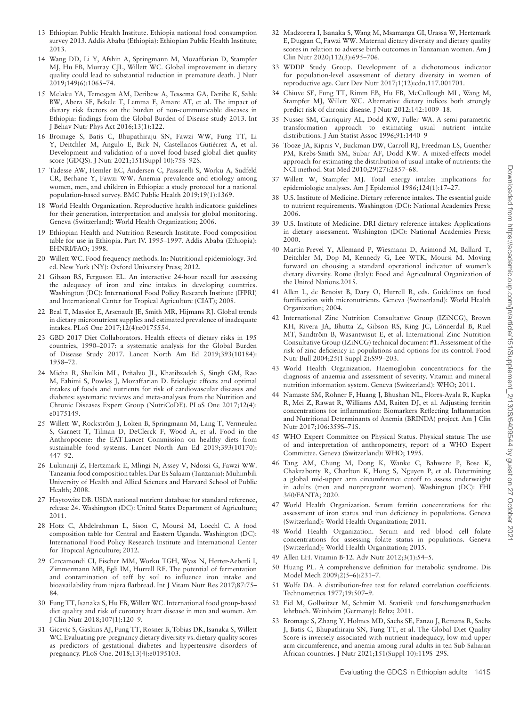- <span id="page-11-0"></span>13 Ethiopian Public Health Institute. Ethiopia national food consumption survey 2013. Addis Ababa (Ethiopia): Ethiopian Public Health Institute; 2013.
- <span id="page-11-1"></span>14 Wang DD, Li Y, Afshin A, Springmann M, Mozaffarian D, Stampfer MJ, Hu FB, Murray CJL, Willett WC. Global improvement in dietary quality could lead to substantial reduction in premature death. J Nutr 2019;149(6):1065–74.
- <span id="page-11-2"></span>15 Melaku YA, Temesgen AM, Deribew A, Tessema GA, Deribe K, Sahle BW, Abera SF, Bekele T, Lemma F, Amare AT, et al. The impact of dietary risk factors on the burden of non-communicable diseases in Ethiopia: findings from the Global Burden of Disease study 2013. Int J Behav Nutr Phys Act 2016;13(1):122.
- <span id="page-11-3"></span>16 Bromage S, Batis C, Bhupathiraju SN, Fawzi WW, Fung TT, Li Y, Deitchler M, Angulo E, Birk N, Castellanos-Gutiérrez A, et al. Development and validation of a novel food-based global diet quality score (GDQS). J Nutr 2021;151(Suppl 10):75S–92S.
- <span id="page-11-4"></span>17 Tadesse AW, Hemler EC, Andersen C, Passarelli S, Worku A, Sudfeld CR, Berhane Y, Fawzi WW. Anemia prevalence and etiology among women, men, and children in Ethiopia: a study protocol for a national population-based survey. BMC Public Health 2019;19(1):1369.
- <span id="page-11-5"></span>18 World Health Organization. Reproductive health indicators: guidelines for their generation, interpretation and analysis for global monitoring. Geneva (Switzerland): World Health Organization; 2006.
- <span id="page-11-6"></span>19 Ethiopian Health and Nutrition Research Institute. Food composition table for use in Ethiopia. Part IV. 1995–1997. Addis Ababa (Ethiopia): EHNRI/FAO; 1998.
- <span id="page-11-7"></span>20 Willett WC. Food frequency methods. In: Nutritional epidemiology. 3rd ed. New York (NY): Oxford University Press; 2012.
- <span id="page-11-8"></span>21 Gibson RS, Ferguson EL. An interactive 24-hour recall for assessing the adequacy of iron and zinc intakes in developing countries. Washington (DC): International Food Policy Research Institute (IFPRI) and International Center for Tropical Agriculture (CIAT); 2008.
- <span id="page-11-9"></span>22 Beal T, Massiot E, Arsenault JE, Smith MR, Hijmans RJ. Global trends in dietary micronutrient supplies and estimated prevalence of inadequate intakes. PLoS One 2017;12(4):e0175554.
- 23 GBD 2017 Diet Collaborators. Health effects of dietary risks in 195 countries, 1990–2017: a systematic analysis for the Global Burden of Disease Study 2017. Lancet North Am Ed 2019;393(10184): 1958–72.
- 24 Micha R, Shulkin ML, Peñalvo JL, Khatibzadeh S, Singh GM, Rao M, Fahimi S, Powles J, Mozaffarian D. Etiologic effects and optimal intakes of foods and nutrients for risk of cardiovascular diseases and diabetes: systematic reviews and meta-analyses from the Nutrition and Chronic Diseases Expert Group (NutriCoDE). PLoS One 2017;12(4): e0175149.
- <span id="page-11-32"></span>25 Willett W, Rockström J, Loken B, Springmann M, Lang T, Vermeulen S, Garnett T, Tilman D, DeClerck F, Wood A, et al. Food in the Anthropocene: the EAT-Lancet Commission on healthy diets from sustainable food systems. Lancet North Am Ed 2019;393(10170): 447–92.
- <span id="page-11-10"></span>26 Lukmanji Z, Hertzmark E, Mlingi N, Assey V, Ndossi G, Fawzi WW. Tanzania food composition tables. Dar Es Salaam (Tanzania): Muhimbili University of Health and Allied Sciences and Harvard School of Public Health; 2008.
- 27 Haytowitz DB. USDA national nutrient database for standard reference, release 24. Washington (DC): United States Department of Agriculture; 2011.
- 28 Hotz C, Abdelrahman L, Sison C, Moursi M, Loechl C. A food composition table for Central and Eastern Uganda. Washington (DC): International Food Policy Research Institute and International Center for Tropical Agriculture; 2012.
- <span id="page-11-11"></span>29 Cercamondi CI, Fischer MM, Worku TGH, Wyss N, Herter-Aeberli I, Zimmermann MB, Egli IM, Hurrell RF. The potential of fermentation and contamination of teff by soil to influence iron intake and bioavailability from injera flatbread. Int J Vitam Nutr Res 2017;87:75– 84.
- <span id="page-11-12"></span>30 Fung TT, Isanaka S, Hu FB, Willett WC. International food group-based diet quality and risk of coronary heart disease in men and women. Am J Clin Nutr 2018;107(1):120–9.
- 31 Gicevic S, Gaskins AJ, Fung TT, Rosner B, Tobias DK, Isanaka S, Willett WC. Evaluating pre-pregnancy dietary diversity vs. dietary quality scores as predictors of gestational diabetes and hypertensive disorders of pregnancy. PLoS One. 2018;13(4):e0195103.
- <span id="page-11-30"></span>32 Madzorera I, Isanaka S, Wang M, Msamanga GI, Urassa W, Hertzmark E, Duggan C, Fawzi WW. Maternal dietary diversity and dietary quality scores in relation to adverse birth outcomes in Tanzanian women. Am J Clin Nutr 2020;112(3):695–706.
- <span id="page-11-13"></span>33 WDDP Study Group. Development of a dichotomous indicator for population-level assessment of dietary diversity in women of reproductive age. Curr Dev Nutr 2017;1(12):cdn.117.001701.
- <span id="page-11-14"></span>34 Chiuve SE, Fung TT, Rimm EB, Hu FB, McCullough ML, Wang M, Stampfer MJ, Willett WC. Alternative dietary indices both strongly predict risk of chronic disease. J Nutr 2012;142:1009–18.
- <span id="page-11-15"></span>35 Nusser SM, Carriquiry AL, Dodd KW, Fuller WA. A semi-parametric transformation approach to estimating usual nutrient intake distributions. J Am Statist Assoc 1996;91:1440–9
- <span id="page-11-16"></span>36 Tooze JA, Kipnis V, Buckman DW, Carroll RJ, Freedman LS, Guenther PM, Krebs-Smith SM, Subar AF, Dodd KW. A mixed-effects model approach for estimating the distribution of usual intake of nutrients: the NCI method. Stat Med 2010;29(27):2857–68.
- <span id="page-11-17"></span>37 Willett W, Stampfer MJ. Total energy intake: implications for epidemiologic analyses. Am J Epidemiol 1986;124(1):17–27.
- <span id="page-11-18"></span>38 U.S. Institute of Medicine. Dietary reference intakes. The essential guide to nutrient requirements. Washington (DC): National Academies Press; 2006.
- <span id="page-11-19"></span>39 U.S. Institute of Medicine. DRI dietary reference intakes: Applications in dietary assessment. Washington (DC): National Academies Press; 2000.
- <span id="page-11-31"></span>40 Martin-Prevel Y, Allemand P, Wiesmann D, Arimond M, Ballard T, Deitchler M, Dop M, Kennedy G, Lee WTK, Moursi M. Moving forward on choosing a standard operational indicator of women's dietary diversity. Rome (Italy): Food and Agricultural Organization of the United Nations.2015.
- 41 Allen L, de Benoist B, Dary O, Hurrell R, eds. Guidelines on food fortification with micronutrients. Geneva (Switzerland): World Health Organization; 2004.
- 42 International Zinc Nutrition Consultative Group (IZiNCG), Brown KH, Rivera JA, Bhutta Z, Gibson RS, King JC, Lönnerdal B, Ruel MT, Sandtröm B, Wasantwisut E, et al. International Zinc Nutrition Consultative Group (IZiNCG) technical document #1. Assessment of the risk of zinc deficiency in populations and options for its control. Food Nutr Bull 2004;25(1 Suppl 2):S99–203.
- <span id="page-11-20"></span>43 World Health Organization. Haemoglobin concentrations for the diagnosis of anaemia and assessment of severity. Vitamin and mineral nutrition information system. Geneva (Switzerland): WHO; 2011.
- 44 Namaste SM, Rohner F, Huang J, Bhushan NL, Flores-Ayala R, Kupka R, Mei Z, Rawat R, Williams AM, Raiten DJ, et al. Adjusting ferritin concentrations for inflammation: Biomarkers Reflecting Inflammation and Nutritional Determinants of Anemia (BRINDA) project. Am J Clin Nutr 2017;106:359S–71S.
- <span id="page-11-21"></span>45 WHO Expert Committee on Physical Status. Physical status: The use of and interpretation of anthropometry, report of a WHO Expert Committee. Geneva (Switzerland): WHO; 1995.
- <span id="page-11-22"></span>46 Tang AM, Chung M, Dong K, Wanke C, Bahwere P, Bose K, Chakraborty R, Charlton K, Hong S, Nguyen P, et al. Determining a global mid-upper arm circumference cutoff to assess underweight in adults (men and nonpregnant women). Washington (DC): FHI 360/FANTA; 2020.
- <span id="page-11-23"></span>47 World Health Organization. Serum ferritin concentrations for the assessment of iron status and iron deficiency in populations. Geneva (Switzerland): World Health Organization; 2011.
- <span id="page-11-24"></span>48 World Health Organization. Serum and red blood cell folate concentrations for assessing folate status in populations. Geneva (Switzerland): World Health Organization; 2015.
- <span id="page-11-25"></span>49 Allen LH. Vitamin B-12. Adv Nutr 2012;3(1):54–5.
- <span id="page-11-26"></span>50 Huang PL. A comprehensive definition for metabolic syndrome. Dis Model Mech 2009;2(5–6):231–7.
- <span id="page-11-27"></span>51 Wolfe DA. A distribution-free test for related correlation coefficients. Technometrics 1977;19:507–9.
- <span id="page-11-28"></span>52 Eid M, Gollwitzer M, Schmitt M. Statistik und forschungsmethoden lehrbuch. Weinheim (Germany): Beltz; 2011.
- <span id="page-11-29"></span>53 Bromage S, Zhang Y, Holmes MD, Sachs SE, Fanzo J, Remans R, Sachs J, Batis C, Bhupathiraju SN, Fung TT, et al. The Global Diet Quality Score is inversely associated with nutrient inadequacy, low mid-upper arm circumference, and anemia among rural adults in ten Sub-Saharan African countries. J Nutr 2021;151(Suppl 10):119S–29S.